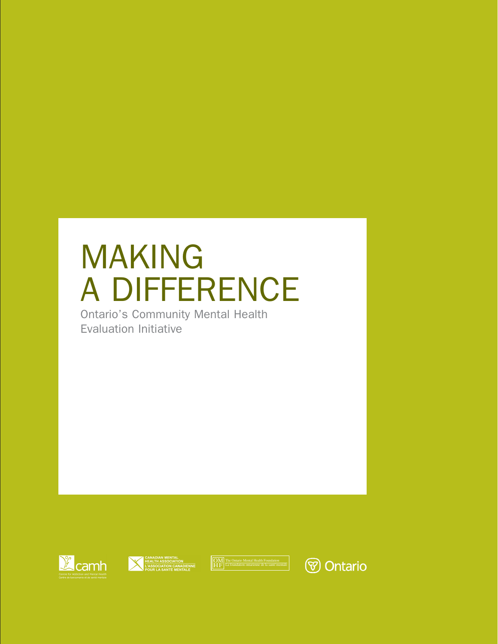# MAKING A DIFFERENCE

Ontario's Community Mental Health Evaluation Initiative







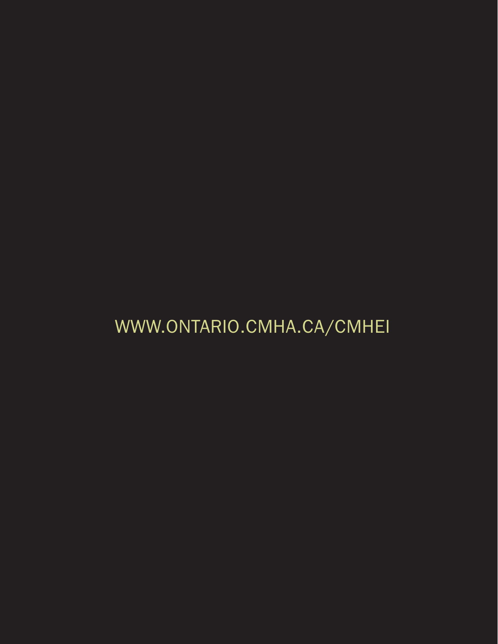# WWW.ONTARIO.CMHA.CA/CMHEI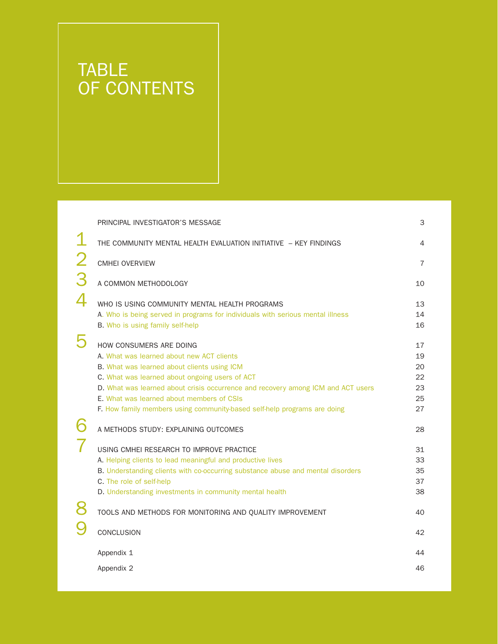## TABLE OF CONTENTS

|                | PRINCIPAL INVESTIGATOR'S MESSAGE                                                                                                                                                                                                                                                                                                                                                          | 3                                      |
|----------------|-------------------------------------------------------------------------------------------------------------------------------------------------------------------------------------------------------------------------------------------------------------------------------------------------------------------------------------------------------------------------------------------|----------------------------------------|
|                | THE COMMUNITY MENTAL HEALTH EVALUATION INITIATIVE - KEY FINDINGS                                                                                                                                                                                                                                                                                                                          | 4                                      |
| $\overline{2}$ | <b>CMHEI OVERVIEW</b>                                                                                                                                                                                                                                                                                                                                                                     | $\overline{7}$                         |
| 3              | A COMMON METHODOLOGY                                                                                                                                                                                                                                                                                                                                                                      | 10                                     |
|                | WHO IS USING COMMUNITY MENTAL HEALTH PROGRAMS<br>A. Who is being served in programs for individuals with serious mental illness<br>B. Who is using family self-help                                                                                                                                                                                                                       | 13<br>14<br>16                         |
| 5              | HOW CONSUMERS ARE DOING<br>A. What was learned about new ACT clients<br>B. What was learned about clients using ICM<br>C. What was learned about ongoing users of ACT<br>D. What was learned about crisis occurrence and recovery among ICM and ACT users<br><b>F.</b> What was learned about members of CSIs<br>F. How family members using community-based self-help programs are doing | 17<br>19<br>20<br>22<br>23<br>25<br>27 |
|                | A METHODS STUDY: EXPLAINING OUTCOMES                                                                                                                                                                                                                                                                                                                                                      | 28                                     |
|                | USING CMHEI RESEARCH TO IMPROVE PRACTICE<br>A. Helping clients to lead meaningful and productive lives<br>B. Understanding clients with co-occurring substance abuse and mental disorders<br>C. The role of self-help<br>D. Understanding investments in community mental health                                                                                                          | 31<br>33<br>35<br>37<br>38             |
| 8              | TOOLS AND METHODS FOR MONITORING AND QUALITY IMPROVEMENT                                                                                                                                                                                                                                                                                                                                  | 40                                     |
|                | CONCLUSION                                                                                                                                                                                                                                                                                                                                                                                | 42                                     |
|                | Appendix 1                                                                                                                                                                                                                                                                                                                                                                                | 44                                     |
|                | Appendix 2                                                                                                                                                                                                                                                                                                                                                                                | 46                                     |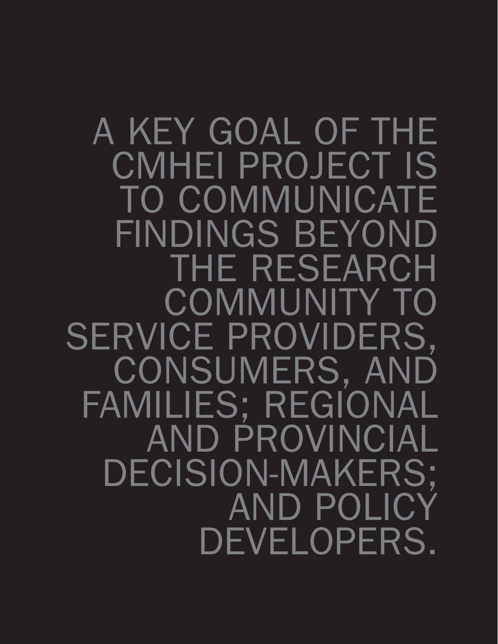A KEY GOAL OF THE CMHEI PROJECT IS TO COMMUNICATE FINDINGS BEYOND THE RESEARCH COMMUNITY TO SERVICE PROVIDERS, CONSUMERS, AND FAMILIES; REGIONAL AND PROVINCIAL DECISION-MAKERS; AND POLICY DEVELOPERS.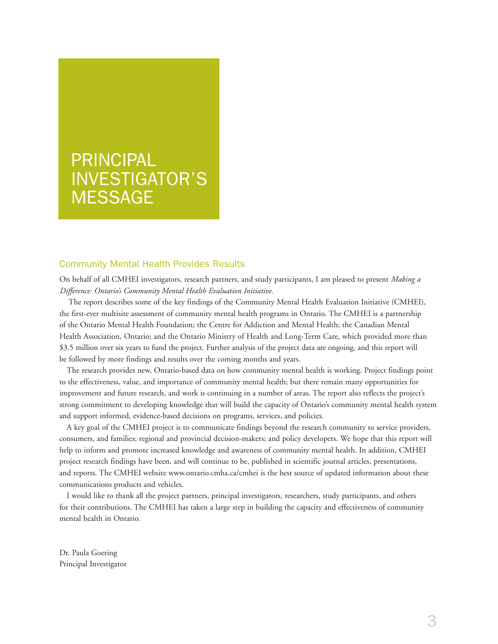# PRINCIPAL INVESTIGATOR'S **MESSAGE**

#### Community Mental Health Provides Results

On behalf of all CMHEI investigators, research partners, and study participants, I am pleased to present *Making a Difference: Ontario's Community Mental Health Evaluation Initiative.* 

The report describes some of the key findings of the Community Mental Health Evaluation Initiative (CMHEI), the first-ever multisite assessment of community mental health programs in Ontario. The CMHEI is a partnership of the Ontario Mental Health Foundation; the Centre for Addiction and Mental Health; the Canadian Mental Health Association, Ontario; and the Ontario Ministry of Health and Long-Term Care, which provided more than \$3.5 million over six years to fund the project. Further analysis of the project data are ongoing, and this report will be followed by more findings and results over the coming months and years.

The research provides new, Ontario-based data on how community mental health is working. Project findings point to the effectiveness, value, and importance of community mental health; but there remain many opportunities for improvement and future research, and work is continuing in a number of areas. The report also reflects the project's strong commitment to developing knowledge that will build the capacity of Ontario's community mental health system and support informed, evidence-based decisions on programs, services, and policies.

A key goal of the CMHEI project is to communicate findings beyond the research community to service providers, consumers, and families; regional and provincial decision-makers; and policy developers. We hope that this report will help to inform and promote increased knowledge and awareness of community mental health. In addition, CMHEI project research findings have been, and will continue to be, published in scientific journal articles, presentations, and reports. The CMHEI website www.ontario.cmha.ca/cmhei is the best source of updated information about these communications products and vehicles.

I would like to thank all the project partners, principal investigators, researchers, study participants, and others for their contributions. The CMHEI has taken a large step in building the capacity and effectiveness of community mental health in Ontario.

Dr. Paula Goering Principal Investigator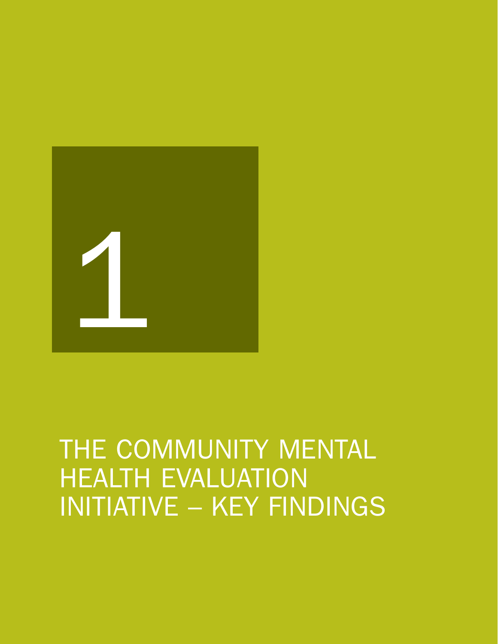

# THE COMMUNITY MENTAL **HEALTH EVALUATION** INITIATIVE – KEY FINDINGS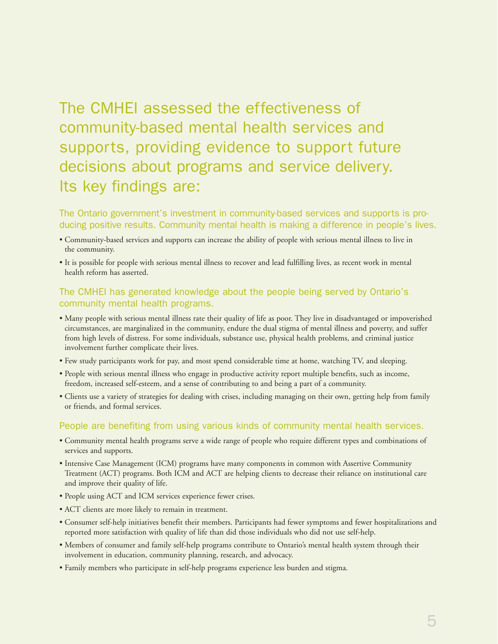## The CMHEI assessed the effectiveness of community-based mental health services and supports, providing evidence to support future decisions about programs and service delivery. Its key findings are:

The Ontario government's investment in community-based services and supports is producing positive results. Community mental health is making a difference in people's lives.

- Community-based services and supports can increase the ability of people with serious mental illness to live in the community.
- It is possible for people with serious mental illness to recover and lead fulfilling lives, as recent work in mental health reform has asserted.

#### The CMHEI has generated knowledge about the people being served by Ontario's community mental health programs.

- Many people with serious mental illness rate their quality of life as poor. They live in disadvantaged or impoverished circumstances, are marginalized in the community, endure the dual stigma of mental illness and poverty, and suffer from high levels of distress. For some individuals, substance use, physical health problems, and criminal justice involvement further complicate their lives.
- Few study participants work for pay, and most spend considerable time at home, watching TV, and sleeping.
- People with serious mental illness who engage in productive activity report multiple benefits, such as income, freedom, increased self-esteem, and a sense of contributing to and being a part of a community.
- Clients use a variety of strategies for dealing with crises, including managing on their own, getting help from family or friends, and formal services.

#### People are benefiting from using various kinds of community mental health services.

- Community mental health programs serve a wide range of people who require different types and combinations of services and supports.
- Intensive Case Management (ICM) programs have many components in common with Assertive Community Treatment (ACT) programs. Both ICM and ACT are helping clients to decrease their reliance on institutional care and improve their quality of life.
- People using ACT and ICM services experience fewer crises.
- ACT clients are more likely to remain in treatment.
- Consumer self-help initiatives benefit their members. Participants had fewer symptoms and fewer hospitalizations and reported more satisfaction with quality of life than did those individuals who did not use self-help.
- Members of consumer and family self-help programs contribute to Ontario's mental health system through their involvement in education, community planning, research, and advocacy.
- Family members who participate in self-help programs experience less burden and stigma.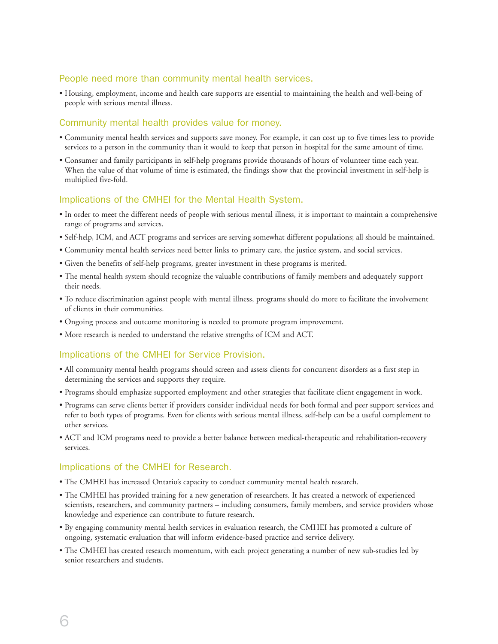#### People need more than community mental health services.

• Housing, employment, income and health care supports are essential to maintaining the health and well-being of people with serious mental illness.

#### Community mental health provides value for money.

- Community mental health services and supports save money. For example, it can cost up to five times less to provide services to a person in the community than it would to keep that person in hospital for the same amount of time.
- Consumer and family participants in self-help programs provide thousands of hours of volunteer time each year. When the value of that volume of time is estimated, the findings show that the provincial investment in self-help is multiplied five-fold.

#### Implications of the CMHEI for the Mental Health System.

- In order to meet the different needs of people with serious mental illness, it is important to maintain a comprehensive range of programs and services.
- Self-help, ICM, and ACT programs and services are serving somewhat different populations; all should be maintained.
- Community mental health services need better links to primary care, the justice system, and social services.
- Given the benefits of self-help programs, greater investment in these programs is merited.
- The mental health system should recognize the valuable contributions of family members and adequately support their needs.
- To reduce discrimination against people with mental illness, programs should do more to facilitate the involvement of clients in their communities.
- Ongoing process and outcome monitoring is needed to promote program improvement.
- More research is needed to understand the relative strengths of ICM and ACT.

#### Implications of the CMHEI for Service Provision.

- All community mental health programs should screen and assess clients for concurrent disorders as a first step in determining the services and supports they require.
- Programs should emphasize supported employment and other strategies that facilitate client engagement in work.
- Programs can serve clients better if providers consider individual needs for both formal and peer support services and refer to both types of programs. Even for clients with serious mental illness, self-help can be a useful complement to other services.
- ACT and ICM programs need to provide a better balance between medical-therapeutic and rehabilitation-recovery services.

#### Implications of the CMHEI for Research.

- The CMHEI has increased Ontario's capacity to conduct community mental health research.
- The CMHEI has provided training for a new generation of researchers. It has created a network of experienced scientists, researchers, and community partners – including consumers, family members, and service providers whose knowledge and experience can contribute to future research.
- By engaging community mental health services in evaluation research, the CMHEI has promoted a culture of ongoing, systematic evaluation that will inform evidence-based practice and service delivery.
- The CMHEI has created research momentum, with each project generating a number of new sub-studies led by senior researchers and students.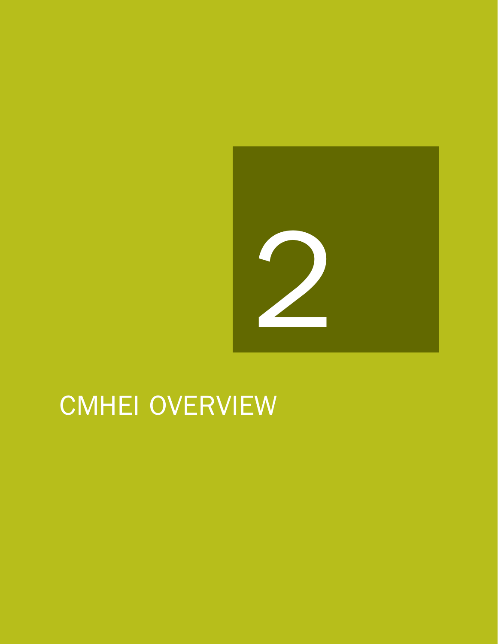

# CMHEI OVERVIEW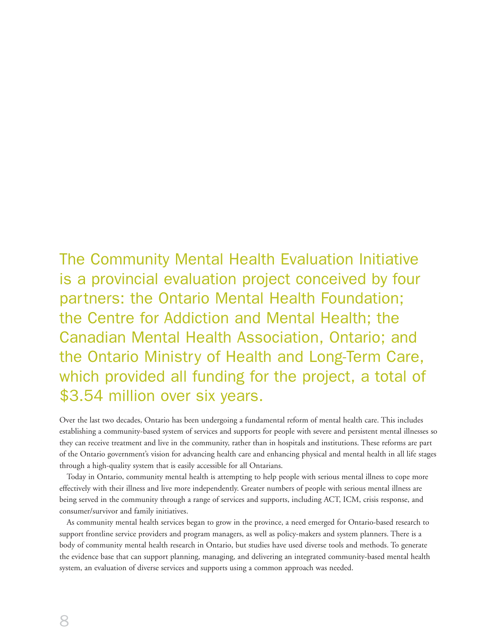The Community Mental Health Evaluation Initiative is a provincial evaluation project conceived by four partners: the Ontario Mental Health Foundation; the Centre for Addiction and Mental Health; the Canadian Mental Health Association, Ontario; and the Ontario Ministry of Health and Long-Term Care, which provided all funding for the project, a total of \$3.54 million over six years.

Over the last two decades, Ontario has been undergoing a fundamental reform of mental health care. This includes establishing a community-based system of services and supports for people with severe and persistent mental illnesses so they can receive treatment and live in the community, rather than in hospitals and institutions. These reforms are part of the Ontario government's vision for advancing health care and enhancing physical and mental health in all life stages through a high-quality system that is easily accessible for all Ontarians.

Today in Ontario, community mental health is attempting to help people with serious mental illness to cope more effectively with their illness and live more independently. Greater numbers of people with serious mental illness are being served in the community through a range of services and supports, including ACT, ICM, crisis response, and consumer/survivor and family initiatives.

As community mental health services began to grow in the province, a need emerged for Ontario-based research to support frontline service providers and program managers, as well as policy-makers and system planners. There is a body of community mental health research in Ontario, but studies have used diverse tools and methods. To generate the evidence base that can support planning, managing, and delivering an integrated community-based mental health system, an evaluation of diverse services and supports using a common approach was needed.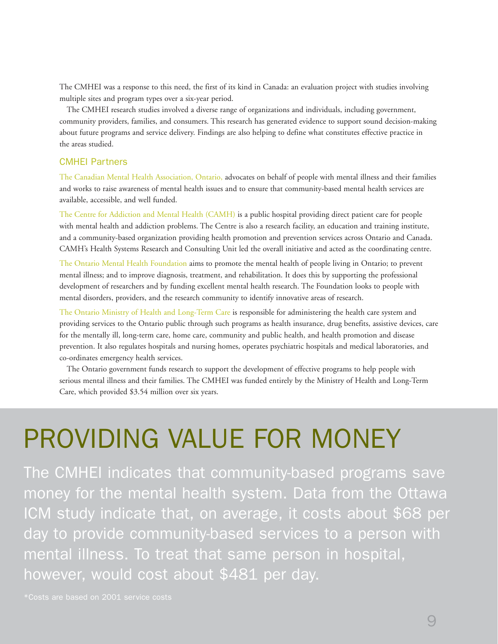The CMHEI was a response to this need, the first of its kind in Canada: an evaluation project with studies involving multiple sites and program types over a six-year period.

The CMHEI research studies involved a diverse range of organizations and individuals, including government, community providers, families, and consumers. This research has generated evidence to support sound decision-making about future programs and service delivery. Findings are also helping to define what constitutes effective practice in the areas studied.

#### CMHEI Partners

The Canadian Mental Health Association, Ontario, advocates on behalf of people with mental illness and their families and works to raise awareness of mental health issues and to ensure that community-based mental health services are available, accessible, and well funded.

The Centre for Addiction and Mental Health (CAMH) is a public hospital providing direct patient care for people with mental health and addiction problems. The Centre is also a research facility, an education and training institute, and a community-based organization providing health promotion and prevention services across Ontario and Canada. CAMH's Health Systems Research and Consulting Unit led the overall initiative and acted as the coordinating centre.

The Ontario Mental Health Foundation aims to promote the mental health of people living in Ontario; to prevent mental illness; and to improve diagnosis, treatment, and rehabilitation. It does this by supporting the professional development of researchers and by funding excellent mental health research. The Foundation looks to people with mental disorders, providers, and the research community to identify innovative areas of research.

The Ontario Ministry of Health and Long-Term Care is responsible for administering the health care system and providing services to the Ontario public through such programs as health insurance, drug benefits, assistive devices, care for the mentally ill, long-term care, home care, community and public health, and health promotion and disease prevention. It also regulates hospitals and nursing homes, operates psychiatric hospitals and medical laboratories, and co-ordinates emergency health services.

The Ontario government funds research to support the development of effective programs to help people with serious mental illness and their families. The CMHEI was funded entirely by the Ministry of Health and Long-Term Care, which provided \$3.54 million over six years.

# PROVIDING VALUE FOR MONEY

The CMHEI indicates that community-based programs save money for the mental health system. Data from the Ottawa ICM study indicate that, on average, it costs about \$68 per day to provide community-based services to a person with mental illness. To treat that same person in hospital, however, would cost about \$481 per day.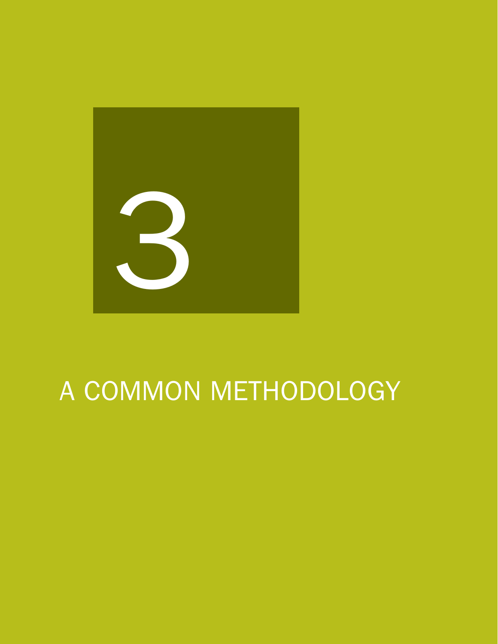

# A COMMON METHODOLOGY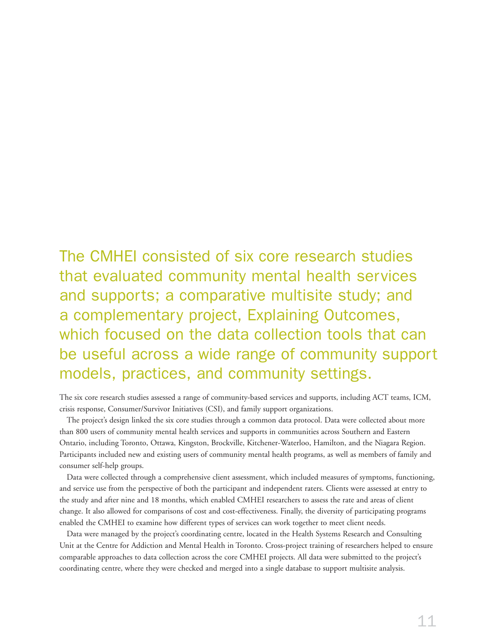The CMHEI consisted of six core research studies that evaluated community mental health services and supports; a comparative multisite study; and a complementary project, Explaining Outcomes, which focused on the data collection tools that can be useful across a wide range of community support models, practices, and community settings.

The six core research studies assessed a range of community-based services and supports, including ACT teams, ICM, crisis response, Consumer/Survivor Initiatives (CSI), and family support organizations.

The project's design linked the six core studies through a common data protocol. Data were collected about more than 800 users of community mental health services and supports in communities across Southern and Eastern Ontario, including Toronto, Ottawa, Kingston, Brockville, Kitchener-Waterloo, Hamilton, and the Niagara Region. Participants included new and existing users of community mental health programs, as well as members of family and consumer self-help groups.

Data were collected through a comprehensive client assessment, which included measures of symptoms, functioning, and service use from the perspective of both the participant and independent raters. Clients were assessed at entry to the study and after nine and 18 months, which enabled CMHEI researchers to assess the rate and areas of client change. It also allowed for comparisons of cost and cost-effectiveness. Finally, the diversity of participating programs enabled the CMHEI to examine how different types of services can work together to meet client needs.

Data were managed by the project's coordinating centre, located in the Health Systems Research and Consulting Unit at the Centre for Addiction and Mental Health in Toronto. Cross-project training of researchers helped to ensure comparable approaches to data collection across the core CMHEI projects. All data were submitted to the project's coordinating centre, where they were checked and merged into a single database to support multisite analysis.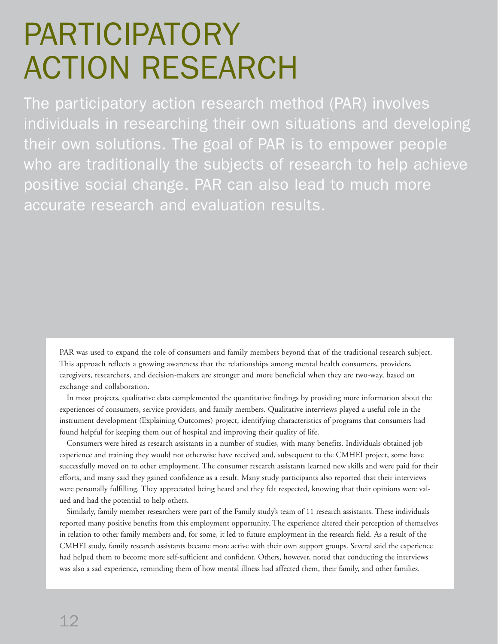# PARTICIPATORY ACTION RESEARCH

The participatory action research method (PAR) involves individuals in researching their own situations and developing their own solutions. The goal of PAR is to empower people who are traditionally the subjects of research to help achieve positive social change. PAR can also lead to much more accurate research and evaluation results.

PAR was used to expand the role of consumers and family members beyond that of the traditional research subject. This approach reflects a growing awareness that the relationships among mental health consumers, providers, caregivers, researchers, and decision-makers are stronger and more beneficial when they are two-way, based on exchange and collaboration.

In most projects, qualitative data complemented the quantitative findings by providing more information about the experiences of consumers, service providers, and family members. Qualitative interviews played a useful role in the instrument development (Explaining Outcomes) project, identifying characteristics of programs that consumers had found helpful for keeping them out of hospital and improving their quality of life.

Consumers were hired as research assistants in a number of studies, with many benefits. Individuals obtained job experience and training they would not otherwise have received and, subsequent to the CMHEI project, some have successfully moved on to other employment. The consumer research assistants learned new skills and were paid for their efforts, and many said they gained confidence as a result. Many study participants also reported that their interviews were personally fulfilling. They appreciated being heard and they felt respected, knowing that their opinions were valued and had the potential to help others.

Similarly, family member researchers were part of the Family study's team of 11 research assistants. These individuals reported many positive benefits from this employment opportunity. The experience altered their perception of themselves in relation to other family members and, for some, it led to future employment in the research field. As a result of the CMHEI study, family research assistants became more active with their own support groups. Several said the experience had helped them to become more self-sufficient and confident. Others, however, noted that conducting the interviews was also a sad experience, reminding them of how mental illness had affected them, their family, and other families.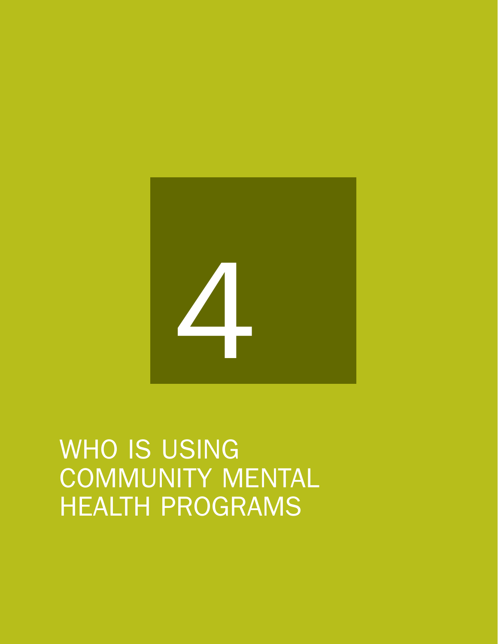# 4

WHO IS USING COMMUNITY MENTAL HEALTH PROGRAMS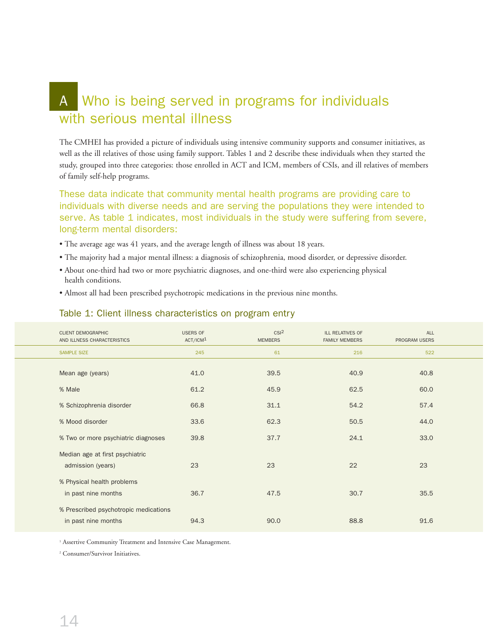## A Who is being served in programs for individuals with serious mental illness

The CMHEI has provided a picture of individuals using intensive community supports and consumer initiatives, as well as the ill relatives of those using family support. Tables 1 and 2 describe these individuals when they started the study, grouped into three categories: those enrolled in ACT and ICM, members of CSIs, and ill relatives of members of family self-help programs.

These data indicate that community mental health programs are providing care to individuals with diverse needs and are serving the populations they were intended to serve. As table 1 indicates, most individuals in the study were suffering from severe, long-term mental disorders:

- The average age was 41 years, and the average length of illness was about 18 years.
- The majority had a major mental illness: a diagnosis of schizophrenia, mood disorder, or depressive disorder.
- About one-third had two or more psychiatric diagnoses, and one-third were also experiencing physical health conditions.
- Almost all had been prescribed psychotropic medications in the previous nine months.

#### Table 1: Client illness characteristics on program entry

| <b>CLIENT DEMOGRAPHIC</b> | AND ILLNESS CHARACTERISTICS                                  | <b>USERS OF</b><br>ACT/ICM <sup>1</sup> | CSI <sup>2</sup><br><b>MEMBERS</b> | <b>ILL RELATIVES OF</b><br><b>FAMILY MEMBERS</b> | <b>ALL</b><br><b>PROGRAM USERS</b> |  |
|---------------------------|--------------------------------------------------------------|-----------------------------------------|------------------------------------|--------------------------------------------------|------------------------------------|--|
| <b>SAMPLE SIZE</b>        |                                                              | 245                                     | 61                                 | 216                                              | 522                                |  |
| Mean age (years)          |                                                              | 41.0                                    | 39.5                               | 40.9                                             | 40.8                               |  |
| % Male                    |                                                              | 61.2                                    | 45.9                               | 62.5                                             | 60.0                               |  |
|                           | % Schizophrenia disorder                                     | 66.8                                    | 31.1                               | 54.2                                             | 57.4                               |  |
| % Mood disorder           |                                                              | 33.6                                    | 62.3                               | 50.5                                             | 44.0                               |  |
|                           | % Two or more psychiatric diagnoses                          | 39.8                                    | 37.7                               | 24.1                                             | 33.0                               |  |
|                           | Median age at first psychiatric<br>admission (years)         | 23                                      | 23                                 | 22                                               | 23                                 |  |
|                           | % Physical health problems<br>in past nine months            | 36.7                                    | 47.5                               | 30.7                                             | 35.5                               |  |
|                           | % Prescribed psychotropic medications<br>in past nine months | 94.3                                    | 90.0                               | 88.8                                             | 91.6                               |  |

<sup>1</sup> Assertive Community Treatment and Intensive Case Management.

<sup>2</sup> Consumer/Survivor Initiatives.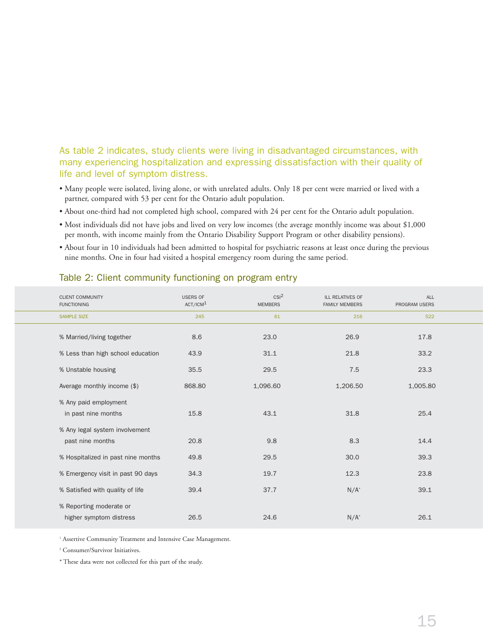#### As table 2 indicates, study clients were living in disadvantaged circumstances, with many experiencing hospitalization and expressing dissatisfaction with their quality of life and level of symptom distress.

- Many people were isolated, living alone, or with unrelated adults. Only 18 per cent were married or lived with a partner, compared with 53 per cent for the Ontario adult population.
- About one-third had not completed high school, compared with 24 per cent for the Ontario adult population.
- Most individuals did not have jobs and lived on very low incomes (the average monthly income was about \$1,000 per month, with income mainly from the Ontario Disability Support Program or other disability pensions).
- About four in 10 individuals had been admitted to hospital for psychiatric reasons at least once during the previous nine months. One in four had visited a hospital emergency room during the same period.

| <b>CLIENT COMMUNITY</b><br><b>FUNCTIONING</b>      | <b>USERS OF</b><br>ACT/ICM <sup>1</sup> | CSI <sup>2</sup><br><b>MEMBERS</b> | ILL RELATIVES OF<br><b>FAMILY MEMBERS</b> | ALL<br>PROGRAM USERS |  |
|----------------------------------------------------|-----------------------------------------|------------------------------------|-------------------------------------------|----------------------|--|
| <b>SAMPLE SIZE</b>                                 | 245                                     | 61                                 | 216                                       | 522                  |  |
| % Married/living together                          | 8.6                                     | 23.0                               | 26.9                                      | 17.8                 |  |
| % Less than high school education                  | 43.9                                    | 31.1                               | 21.8                                      | 33.2                 |  |
| % Unstable housing                                 | 35.5                                    | 29.5                               | 7.5                                       | 23.3                 |  |
| Average monthly income (\$)                        | 868.80                                  | 1,096.60                           | 1,206.50                                  | 1,005.80             |  |
| % Any paid employment<br>in past nine months       | 15.8                                    | 43.1                               | 31.8                                      | 25.4                 |  |
| % Any legal system involvement<br>past nine months | 20.8                                    | 9.8                                | 8.3                                       | 14.4                 |  |
| % Hospitalized in past nine months                 | 49.8                                    | 29.5                               | 30.0                                      | 39.3                 |  |
| % Emergency visit in past 90 days                  | 34.3                                    | 19.7                               | 12.3                                      | 23.8                 |  |
| % Satisfied with quality of life                   | 39.4                                    | 37.7                               | $N/A^*$                                   | 39.1                 |  |
| % Reporting moderate or<br>higher symptom distress | 26.5                                    | 24.6                               | $N/A^*$                                   | 26.1                 |  |

#### Table 2: Client community functioning on program entry

<sup>1</sup> Assertive Community Treatment and Intensive Case Management.

<sup>2</sup> Consumer/Survivor Initiatives.

\* These data were not collected for this part of the study.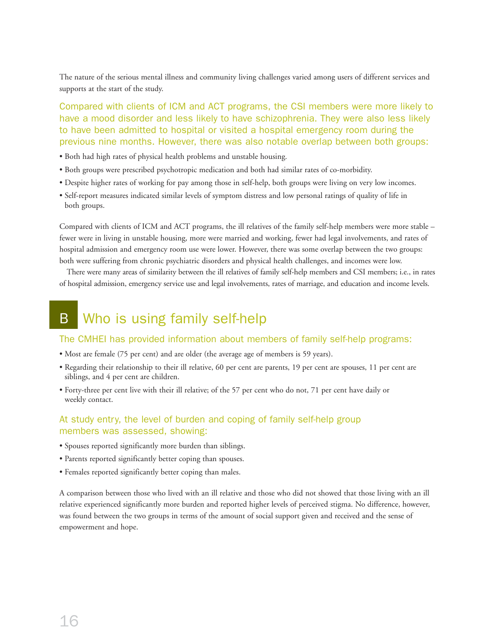The nature of the serious mental illness and community living challenges varied among users of different services and supports at the start of the study.

Compared with clients of ICM and ACT programs, the CSI members were more likely to have a mood disorder and less likely to have schizophrenia. They were also less likely to have been admitted to hospital or visited a hospital emergency room during the previous nine months. However, there was also notable overlap between both groups:

- Both had high rates of physical health problems and unstable housing.
- Both groups were prescribed psychotropic medication and both had similar rates of co-morbidity.
- Despite higher rates of working for pay among those in self-help, both groups were living on very low incomes.
- Self-report measures indicated similar levels of symptom distress and low personal ratings of quality of life in both groups.

Compared with clients of ICM and ACT programs, the ill relatives of the family self-help members were more stable – fewer were in living in unstable housing, more were married and working, fewer had legal involvements, and rates of hospital admission and emergency room use were lower. However, there was some overlap between the two groups: both were suffering from chronic psychiatric disorders and physical health challenges, and incomes were low.

There were many areas of similarity between the ill relatives of family self-help members and CSI members; i.e., in rates of hospital admission, emergency service use and legal involvements, rates of marriage, and education and income levels.

## B Who is using family self-help

#### The CMHEI has provided information about members of family self-help programs:

- Most are female (75 per cent) and are older (the average age of members is 59 years).
- Regarding their relationship to their ill relative, 60 per cent are parents, 19 per cent are spouses, 11 per cent are siblings, and 4 per cent are children.
- Forty-three per cent live with their ill relative; of the 57 per cent who do not, 71 per cent have daily or weekly contact.

#### At study entry, the level of burden and coping of family self-help group members was assessed, showing:

- Spouses reported significantly more burden than siblings.
- Parents reported significantly better coping than spouses.
- Females reported significantly better coping than males.

A comparison between those who lived with an ill relative and those who did not showed that those living with an ill relative experienced significantly more burden and reported higher levels of perceived stigma. No difference, however, was found between the two groups in terms of the amount of social support given and received and the sense of empowerment and hope.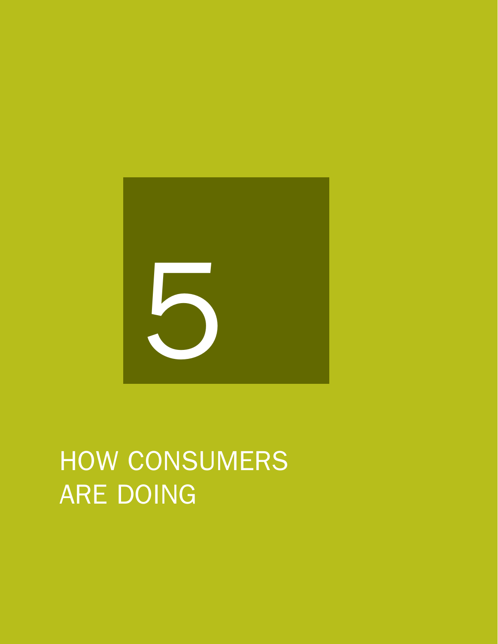

# HOW CONSUMERS ARE DOING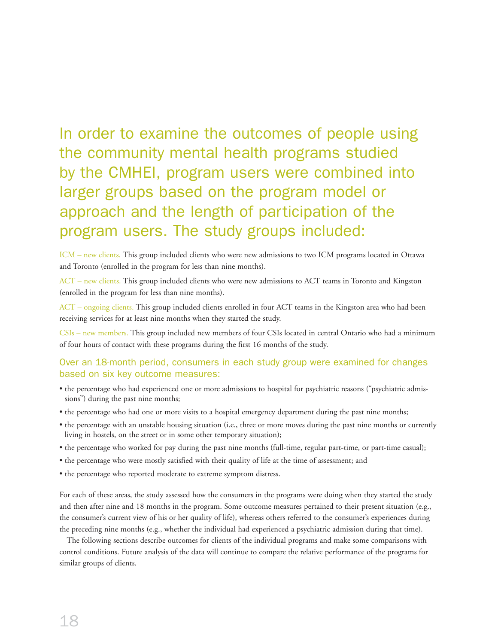# In order to examine the outcomes of people using the community mental health programs studied by the CMHEI, program users were combined into larger groups based on the program model or approach and the length of participation of the program users. The study groups included:

ICM – new clients. This group included clients who were new admissions to two ICM programs located in Ottawa and Toronto (enrolled in the program for less than nine months).

ACT – new clients. This group included clients who were new admissions to ACT teams in Toronto and Kingston (enrolled in the program for less than nine months).

ACT – ongoing clients. This group included clients enrolled in four ACT teams in the Kingston area who had been receiving services for at least nine months when they started the study.

CSIs – new members. This group included new members of four CSIs located in central Ontario who had a minimum of four hours of contact with these programs during the first 16 months of the study.

#### Over an 18-month period, consumers in each study group were examined for changes based on six key outcome measures:

- the percentage who had experienced one or more admissions to hospital for psychiatric reasons ("psychiatric admissions") during the past nine months;
- the percentage who had one or more visits to a hospital emergency department during the past nine months;
- the percentage with an unstable housing situation (i.e., three or more moves during the past nine months or currently living in hostels, on the street or in some other temporary situation);
- the percentage who worked for pay during the past nine months (full-time, regular part-time, or part-time casual);
- the percentage who were mostly satisfied with their quality of life at the time of assessment; and
- the percentage who reported moderate to extreme symptom distress.

For each of these areas, the study assessed how the consumers in the programs were doing when they started the study and then after nine and 18 months in the program. Some outcome measures pertained to their present situation (e.g., the consumer's current view of his or her quality of life), whereas others referred to the consumer's experiences during the preceding nine months (e.g., whether the individual had experienced a psychiatric admission during that time).

The following sections describe outcomes for clients of the individual programs and make some comparisons with control conditions. Future analysis of the data will continue to compare the relative performance of the programs for similar groups of clients.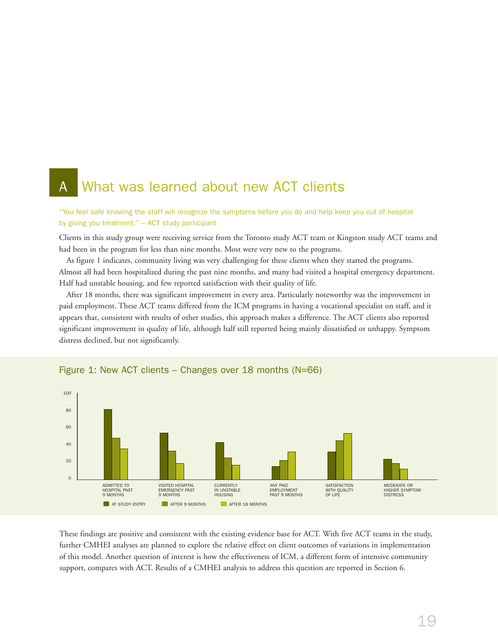## What was learned about new ACT clients

"You feel safe knowing the staff will recognize the symptoms before you do and help keep you out of hospital by giving you treatment." – ACT study participant

Clients in this study group were receiving service from the Toronto study ACT team or Kingston study ACT teams and had been in the program for less than nine months. Most were very new to the programs.

As figure 1 indicates, community living was very challenging for these clients when they started the programs. Almost all had been hospitalized during the past nine months, and many had visited a hospital emergency department. Half had unstable housing, and few reported satisfaction with their quality of life.

After 18 months, there was significant improvement in every area. Particularly noteworthy was the improvement in paid employment. These ACT teams differed from the ICM programs in having a vocational specialist on staff, and it appears that, consistent with results of other studies, this approach makes a difference. The ACT clients also reported significant improvement in quality of life, although half still reported being mainly dissatisfied or unhappy. Symptom distress declined, but not significantly.



#### Figure 1: New ACT clients – Changes over 18 months (N=66)

These findings are positive and consistent with the existing evidence base for ACT. With five ACT teams in the study, further CMHEI analyses are planned to explore the relative effect on client outcomes of variations in implementation of this model. Another question of interest is how the effectiveness of ICM, a different form of intensive community support, compares with ACT. Results of a CMHEI analysis to address this question are reported in Section 6.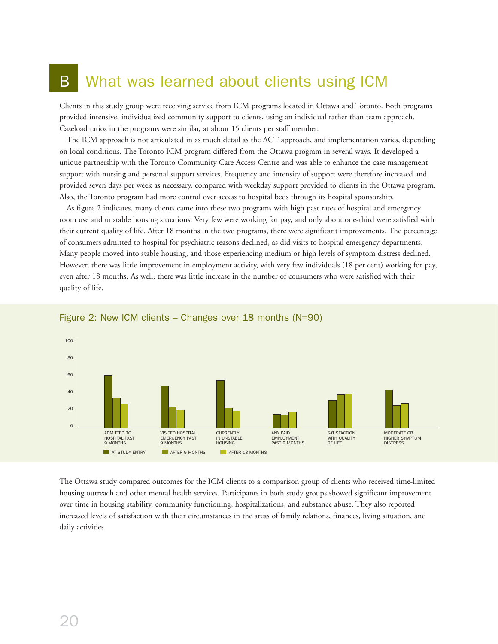## B What was learned about clients using ICM

Clients in this study group were receiving service from ICM programs located in Ottawa and Toronto. Both programs provided intensive, individualized community support to clients, using an individual rather than team approach. Caseload ratios in the programs were similar, at about 15 clients per staff member.

The ICM approach is not articulated in as much detail as the ACT approach, and implementation varies, depending on local conditions. The Toronto ICM program differed from the Ottawa program in several ways. It developed a unique partnership with the Toronto Community Care Access Centre and was able to enhance the case management support with nursing and personal support services. Frequency and intensity of support were therefore increased and provided seven days per week as necessary, compared with weekday support provided to clients in the Ottawa program. Also, the Toronto program had more control over access to hospital beds through its hospital sponsorship.

As figure 2 indicates, many clients came into these two programs with high past rates of hospital and emergency room use and unstable housing situations. Very few were working for pay, and only about one-third were satisfied with their current quality of life. After 18 months in the two programs, there were significant improvements. The percentage of consumers admitted to hospital for psychiatric reasons declined, as did visits to hospital emergency departments. Many people moved into stable housing, and those experiencing medium or high levels of symptom distress declined. However, there was little improvement in employment activity, with very few individuals (18 per cent) working for pay, even after 18 months. As well, there was little increase in the number of consumers who were satisfied with their quality of life.



Figure 2: New ICM clients – Changes over 18 months (N=90)

The Ottawa study compared outcomes for the ICM clients to a comparison group of clients who received time-limited housing outreach and other mental health services. Participants in both study groups showed significant improvement over time in housing stability, community functioning, hospitalizations, and substance abuse. They also reported increased levels of satisfaction with their circumstances in the areas of family relations, finances, living situation, and daily activities.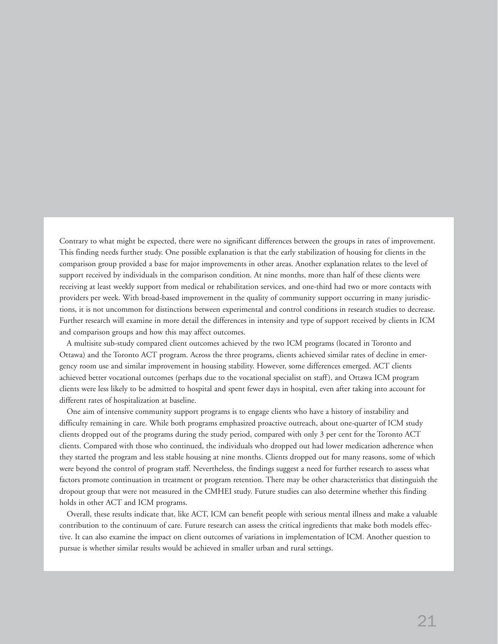Contrary to what might be expected, there were no significant differences between the groups in rates of improvement. This finding needs further study. One possible explanation is that the early stabilization of housing for clients in the comparison group provided a base for major improvements in other areas. Another explanation relates to the level of support received by individuals in the comparison condition. At nine months, more than half of these clients were receiving at least weekly support from medical or rehabilitation services, and one-third had two or more contacts with providers per week. With broad-based improvement in the quality of community support occurring in many jurisdictions, it is not uncommon for distinctions between experimental and control conditions in research studies to decrease. Further research will examine in more detail the differences in intensity and type of support received by clients in ICM and comparison groups and how this may affect outcomes.

A multisite sub-study compared client outcomes achieved by the two ICM programs (located in Toronto and Ottawa) and the Toronto ACT program. Across the three programs, clients achieved similar rates of decline in emergency room use and similar improvement in housing stability. However, some differences emerged. ACT clients achieved better vocational outcomes (perhaps due to the vocational specialist on staff), and Ottawa ICM program clients were less likely to be admitted to hospital and spent fewer days in hospital, even after taking into account for different rates of hospitalization at baseline.

One aim of intensive community support programs is to engage clients who have a history of instability and difficulty remaining in care. While both programs emphasized proactive outreach, about one-quarter of ICM study clients dropped out of the programs during the study period, compared with only 3 per cent for the Toronto ACT clients. Compared with those who continued, the individuals who dropped out had lower medication adherence when they started the program and less stable housing at nine months. Clients dropped out for many reasons, some of which were beyond the control of program staff. Nevertheless, the findings suggest a need for further research to assess what factors promote continuation in treatment or program retention. There may be other characteristics that distinguish the dropout group that were not measured in the CMHEI study. Future studies can also determine whether this finding holds in other ACT and ICM programs.

Overall, these results indicate that, like ACT, ICM can benefit people with serious mental illness and make a valuable contribution to the continuum of care. Future research can assess the critical ingredients that make both models effective. It can also examine the impact on client outcomes of variations in implementation of ICM. Another question to pursue is whether similar results would be achieved in smaller urban and rural settings.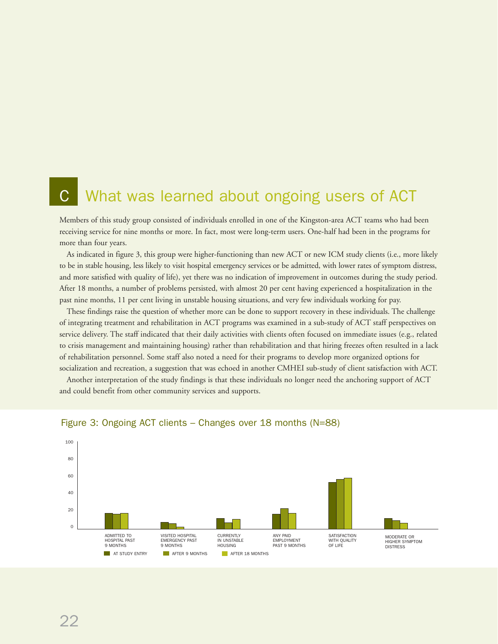# What was learned about ongoing users of ACT

Members of this study group consisted of individuals enrolled in one of the Kingston-area ACT teams who had been receiving service for nine months or more. In fact, most were long-term users. One-half had been in the programs for more than four years.

As indicated in figure 3, this group were higher-functioning than new ACT or new ICM study clients (i.e., more likely to be in stable housing, less likely to visit hospital emergency services or be admitted, with lower rates of symptom distress, and more satisfied with quality of life), yet there was no indication of improvement in outcomes during the study period. After 18 months, a number of problems persisted, with almost 20 per cent having experienced a hospitalization in the past nine months, 11 per cent living in unstable housing situations, and very few individuals working for pay.

These findings raise the question of whether more can be done to support recovery in these individuals. The challenge of integrating treatment and rehabilitation in ACT programs was examined in a sub-study of ACT staff perspectives on service delivery. The staff indicated that their daily activities with clients often focused on immediate issues (e.g., related to crisis management and maintaining housing) rather than rehabilitation and that hiring freezes often resulted in a lack of rehabilitation personnel. Some staff also noted a need for their programs to develop more organized options for socialization and recreation, a suggestion that was echoed in another CMHEI sub-study of client satisfaction with ACT.

Another interpretation of the study findings is that these individuals no longer need the anchoring support of ACT and could benefit from other community services and supports.



#### Figure 3: Ongoing ACT clients – Changes over 18 months (N=88)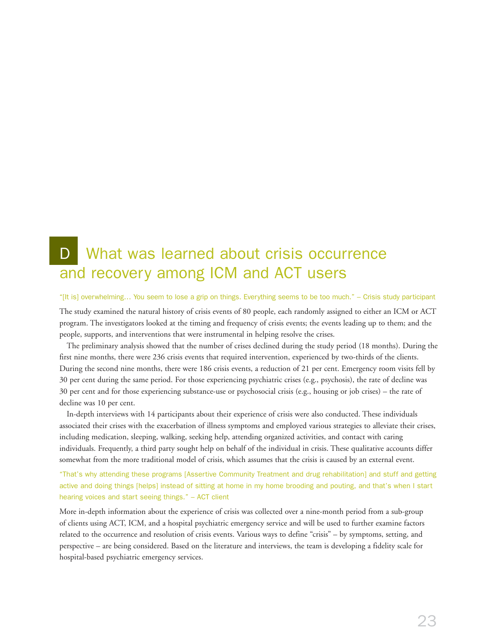## D What was learned about crisis occurrence and recovery among ICM and ACT users

#### "[It is] overwhelming… You seem to lose a grip on things. Everything seems to be too much." – Crisis study participant

The study examined the natural history of crisis events of 80 people, each randomly assigned to either an ICM or ACT program. The investigators looked at the timing and frequency of crisis events; the events leading up to them; and the people, supports, and interventions that were instrumental in helping resolve the crises.

The preliminary analysis showed that the number of crises declined during the study period (18 months). During the first nine months, there were 236 crisis events that required intervention, experienced by two-thirds of the clients. During the second nine months, there were 186 crisis events, a reduction of 21 per cent. Emergency room visits fell by 30 per cent during the same period. For those experiencing psychiatric crises (e.g., psychosis), the rate of decline was 30 per cent and for those experiencing substance-use or psychosocial crisis (e.g., housing or job crises) – the rate of decline was 10 per cent.

In-depth interviews with 14 participants about their experience of crisis were also conducted. These individuals associated their crises with the exacerbation of illness symptoms and employed various strategies to alleviate their crises, including medication, sleeping, walking, seeking help, attending organized activities, and contact with caring individuals. Frequently, a third party sought help on behalf of the individual in crisis. These qualitative accounts differ somewhat from the more traditional model of crisis, which assumes that the crisis is caused by an external event.

"That's why attending these programs [Assertive Community Treatment and drug rehabilitation] and stuff and getting active and doing things [helps] instead of sitting at home in my home brooding and pouting, and that's when I start hearing voices and start seeing things." – ACT client

More in-depth information about the experience of crisis was collected over a nine-month period from a sub-group of clients using ACT, ICM, and a hospital psychiatric emergency service and will be used to further examine factors related to the occurrence and resolution of crisis events. Various ways to define "crisis" – by symptoms, setting, and perspective – are being considered. Based on the literature and interviews, the team is developing a fidelity scale for hospital-based psychiatric emergency services.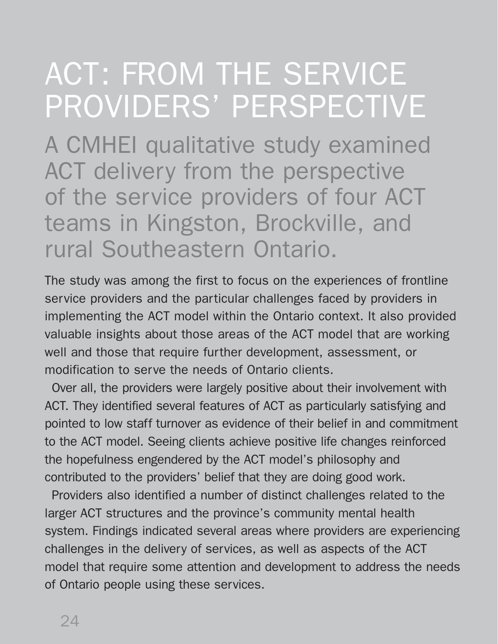# ACT: FROM THE SERVICE PROVIDERS' PERSPECTIVE

A CMHEI qualitative study examined ACT delivery from the perspective of the service providers of four ACT teams in Kingston, Brockville, and rural Southeastern Ontario.

The study was among the first to focus on the experiences of frontline service providers and the particular challenges faced by providers in implementing the ACT model within the Ontario context. It also provided valuable insights about those areas of the ACT model that are working well and those that require further development, assessment, or modification to serve the needs of Ontario clients.

Over all, the providers were largely positive about their involvement with ACT. They identified several features of ACT as particularly satisfying and pointed to low staff turnover as evidence of their belief in and commitment to the ACT model. Seeing clients achieve positive life changes reinforced the hopefulness engendered by the ACT model's philosophy and contributed to the providers' belief that they are doing good work.

Providers also identified a number of distinct challenges related to the larger ACT structures and the province's community mental health system. Findings indicated several areas where providers are experiencing challenges in the delivery of services, as well as aspects of the ACT model that require some attention and development to address the needs of Ontario people using these services.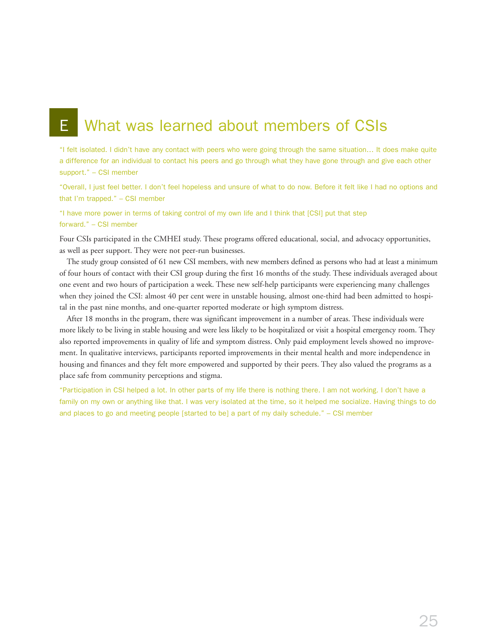# **E** What was learned about members of CSIs

"I felt isolated. I didn't have any contact with peers who were going through the same situation… It does make quite a difference for an individual to contact his peers and go through what they have gone through and give each other support." – CSI member

"Overall, I just feel better. I don't feel hopeless and unsure of what to do now. Before it felt like I had no options and that I'm trapped." – CSI member

"I have more power in terms of taking control of my own life and I think that [CSI] put that step forward." – CSI member

Four CSIs participated in the CMHEI study. These programs offered educational, social, and advocacy opportunities, as well as peer support. They were not peer-run businesses.

The study group consisted of 61 new CSI members, with new members defined as persons who had at least a minimum of four hours of contact with their CSI group during the first 16 months of the study. These individuals averaged about one event and two hours of participation a week. These new self-help participants were experiencing many challenges when they joined the CSI: almost 40 per cent were in unstable housing, almost one-third had been admitted to hospital in the past nine months, and one-quarter reported moderate or high symptom distress.

After 18 months in the program, there was significant improvement in a number of areas. These individuals were more likely to be living in stable housing and were less likely to be hospitalized or visit a hospital emergency room. They also reported improvements in quality of life and symptom distress. Only paid employment levels showed no improvement. In qualitative interviews, participants reported improvements in their mental health and more independence in housing and finances and they felt more empowered and supported by their peers. They also valued the programs as a place safe from community perceptions and stigma.

"Participation in CSI helped a lot. In other parts of my life there is nothing there. I am not working. I don't have a family on my own or anything like that. I was very isolated at the time, so it helped me socialize. Having things to do and places to go and meeting people [started to be] a part of my daily schedule." – CSI member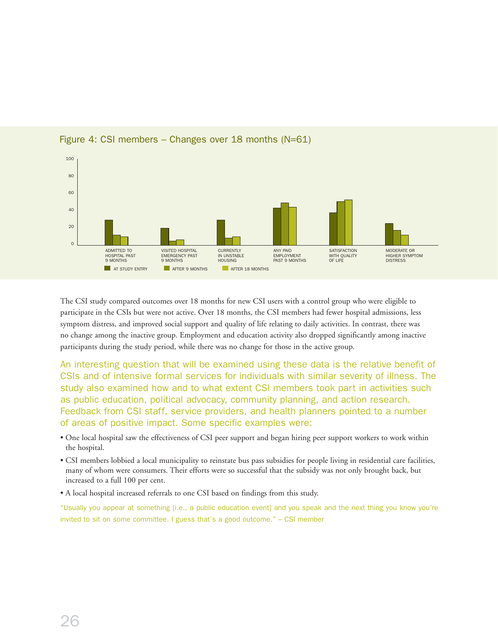

#### Figure 4: CSI members – Changes over 18 months  $(N=61)$

The CSI study compared outcomes over 18 months for new CSI users with a control group who were eligible to participate in the CSIs but were not active. Over 18 months, the CSI members had fewer hospital admissions, less symptom distress, and improved social support and quality of life relating to daily activities. In contrast, there was no change among the inactive group. Employment and education activity also dropped significantly among inactive participants during the study period, while there was no change for those in the active group.

An interesting question that will be examined using these data is the relative benefit of CSIs and of intensive formal services for individuals with similar severity of illness. The study also examined how and to what extent CSI members took part in activities such as public education, political advocacy, community planning, and action research. Feedback from CSI staff, service providers, and health planners pointed to a number of areas of positive impact. Some specific examples were:

- One local hospital saw the effectiveness of CSI peer support and began hiring peer support workers to work within the hospital.
- CSI members lobbied a local municipality to reinstate bus pass subsidies for people living in residential care facilities, many of whom were consumers. Their efforts were so successful that the subsidy was not only brought back, but increased to a full 100 per cent.
- A local hospital increased referrals to one CSI based on findings from this study.

"Usually you appear at something [i.e., a public education event] and you speak and the next thing you know you're invited to sit on some committee. I guess that's a good outcome." – CSI member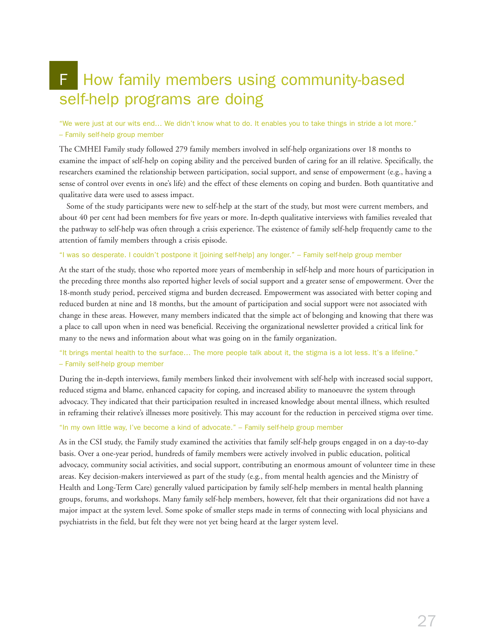# F How family members using community-based self-help programs are doing

"We were just at our wits end… We didn't know what to do. It enables you to take things in stride a lot more." – Family self-help group member

The CMHEI Family study followed 279 family members involved in self-help organizations over 18 months to examine the impact of self-help on coping ability and the perceived burden of caring for an ill relative. Specifically, the researchers examined the relationship between participation, social support, and sense of empowerment (e.g., having a sense of control over events in one's life) and the effect of these elements on coping and burden. Both quantitative and qualitative data were used to assess impact.

Some of the study participants were new to self-help at the start of the study, but most were current members, and about 40 per cent had been members for five years or more. In-depth qualitative interviews with families revealed that the pathway to self-help was often through a crisis experience. The existence of family self-help frequently came to the attention of family members through a crisis episode.

#### "I was so desperate. I couldn't postpone it [joining self-help] any longer." – Family self-help group member

At the start of the study, those who reported more years of membership in self-help and more hours of participation in the preceding three months also reported higher levels of social support and a greater sense of empowerment. Over the 18-month study period, perceived stigma and burden decreased. Empowerment was associated with better coping and reduced burden at nine and 18 months, but the amount of participation and social support were not associated with change in these areas. However, many members indicated that the simple act of belonging and knowing that there was a place to call upon when in need was beneficial. Receiving the organizational newsletter provided a critical link for many to the news and information about what was going on in the family organization.

#### "It brings mental health to the surface… The more people talk about it, the stigma is a lot less. It's a lifeline." – Family self-help group member

During the in-depth interviews, family members linked their involvement with self-help with increased social support, reduced stigma and blame, enhanced capacity for coping, and increased ability to manoeuvre the system through advocacy. They indicated that their participation resulted in increased knowledge about mental illness, which resulted in reframing their relative's illnesses more positively. This may account for the reduction in perceived stigma over time.

#### "In my own little way, I've become a kind of advocate." – Family self-help group member

As in the CSI study, the Family study examined the activities that family self-help groups engaged in on a day-to-day basis. Over a one-year period, hundreds of family members were actively involved in public education, political advocacy, community social activities, and social support, contributing an enormous amount of volunteer time in these areas. Key decision-makers interviewed as part of the study (e.g., from mental health agencies and the Ministry of Health and Long-Term Care) generally valued participation by family self-help members in mental health planning groups, forums, and workshops. Many family self-help members, however, felt that their organizations did not have a major impact at the system level. Some spoke of smaller steps made in terms of connecting with local physicians and psychiatrists in the field, but felt they were not yet being heard at the larger system level.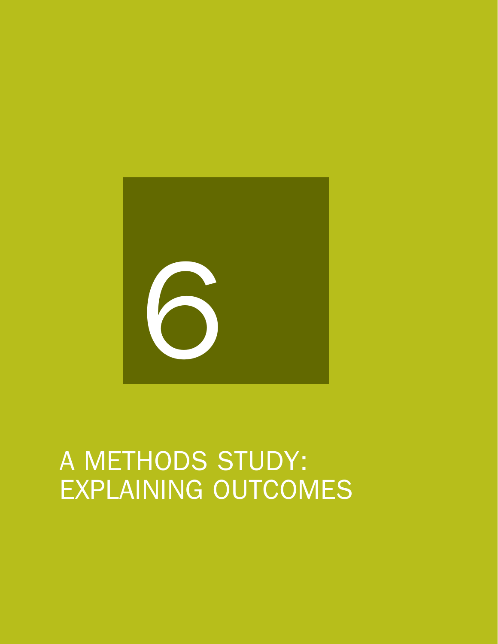

# A METHODS STUDY: EXPLAINING OUTCOMES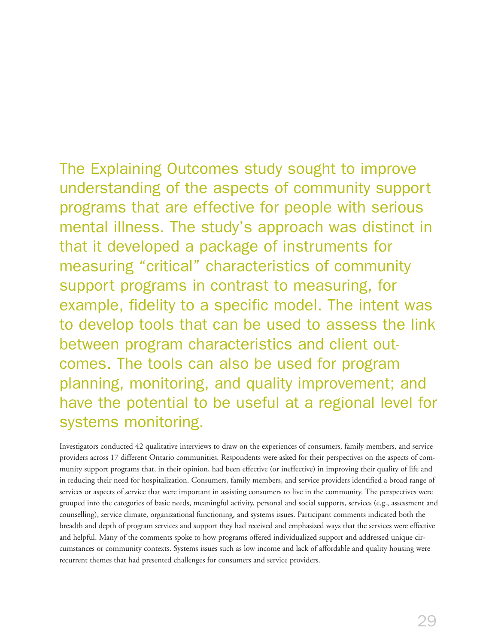The Explaining Outcomes study sought to improve understanding of the aspects of community support programs that are effective for people with serious mental illness. The study's approach was distinct in that it developed a package of instruments for measuring "critical" characteristics of community support programs in contrast to measuring, for example, fidelity to a specific model. The intent was to develop tools that can be used to assess the link between program characteristics and client outcomes. The tools can also be used for program planning, monitoring, and quality improvement; and have the potential to be useful at a regional level for systems monitoring.

Investigators conducted 42 qualitative interviews to draw on the experiences of consumers, family members, and service providers across 17 different Ontario communities. Respondents were asked for their perspectives on the aspects of community support programs that, in their opinion, had been effective (or ineffective) in improving their quality of life and in reducing their need for hospitalization. Consumers, family members, and service providers identified a broad range of services or aspects of service that were important in assisting consumers to live in the community. The perspectives were grouped into the categories of basic needs, meaningful activity, personal and social supports, services (e.g., assessment and counselling), service climate, organizational functioning, and systems issues. Participant comments indicated both the breadth and depth of program services and support they had received and emphasized ways that the services were effective and helpful. Many of the comments spoke to how programs offered individualized support and addressed unique circumstances or community contexts. Systems issues such as low income and lack of affordable and quality housing were recurrent themes that had presented challenges for consumers and service providers.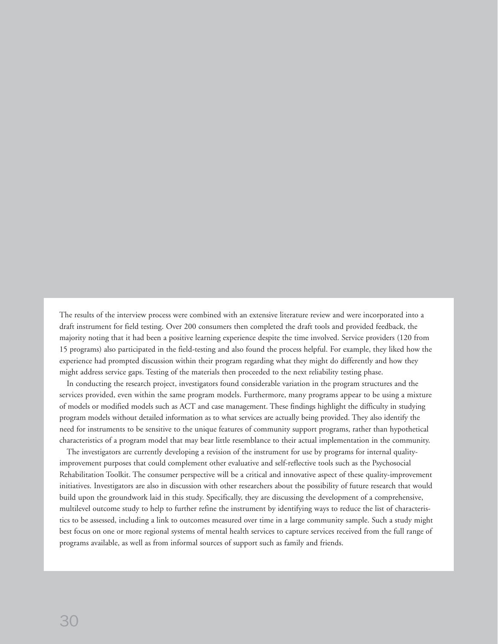The results of the interview process were combined with an extensive literature review and were incorporated into a draft instrument for field testing. Over 200 consumers then completed the draft tools and provided feedback, the majority noting that it had been a positive learning experience despite the time involved. Service providers (120 from 15 programs) also participated in the field-testing and also found the process helpful. For example, they liked how the experience had prompted discussion within their program regarding what they might do differently and how they might address service gaps. Testing of the materials then proceeded to the next reliability testing phase.

In conducting the research project, investigators found considerable variation in the program structures and the services provided, even within the same program models. Furthermore, many programs appear to be using a mixture of models or modified models such as ACT and case management. These findings highlight the difficulty in studying program models without detailed information as to what services are actually being provided. They also identify the need for instruments to be sensitive to the unique features of community support programs, rather than hypothetical characteristics of a program model that may bear little resemblance to their actual implementation in the community.

The investigators are currently developing a revision of the instrument for use by programs for internal qualityimprovement purposes that could complement other evaluative and self-reflective tools such as the Psychosocial Rehabilitation Toolkit. The consumer perspective will be a critical and innovative aspect of these quality-improvement initiatives. Investigators are also in discussion with other researchers about the possibility of future research that would build upon the groundwork laid in this study. Specifically, they are discussing the development of a comprehensive, multilevel outcome study to help to further refine the instrument by identifying ways to reduce the list of characteristics to be assessed, including a link to outcomes measured over time in a large community sample. Such a study might best focus on one or more regional systems of mental health services to capture services received from the full range of programs available, as well as from informal sources of support such as family and friends.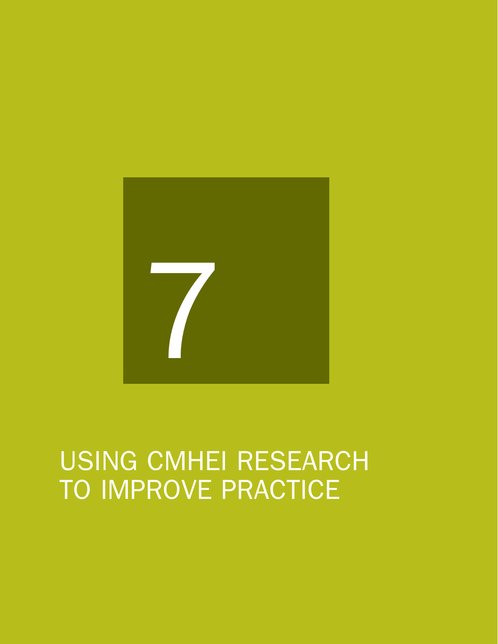

# USING CMHEI RESEARCH TO IMPROVE PRACTICE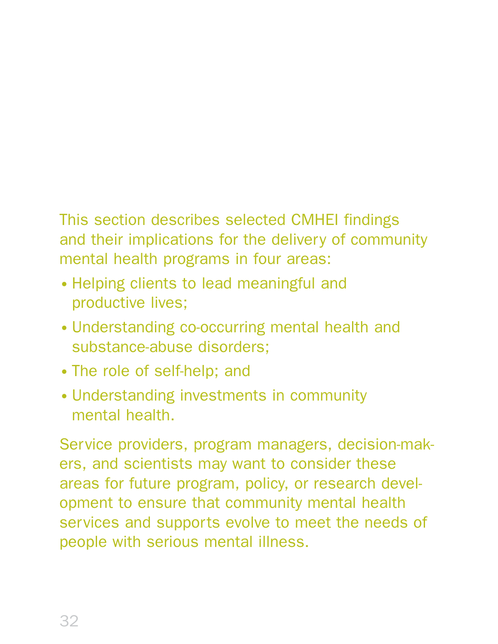# This section describes selected CMHEI findings and their implications for the delivery of community mental health programs in four areas:

- Helping clients to lead meaningful and productive lives;
- Understanding co-occurring mental health and substance-abuse disorders;
- The role of self-help; and
- Understanding investments in community mental health.

Service providers, program managers, decision-makers, and scientists may want to consider these areas for future program, policy, or research development to ensure that community mental health services and supports evolve to meet the needs of people with serious mental illness.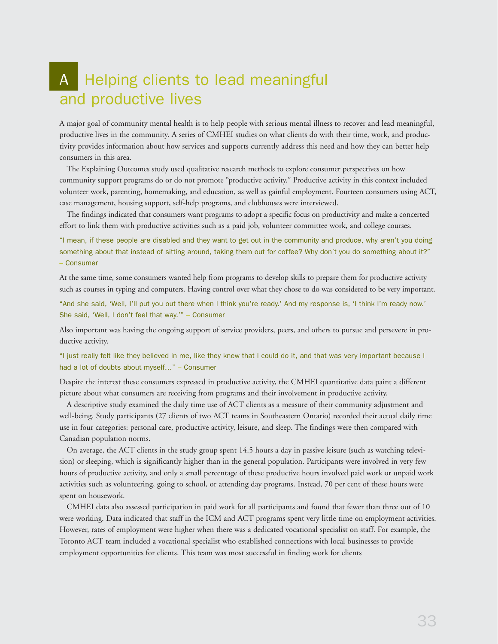## A Helping clients to lead meaningful and productive lives

A major goal of community mental health is to help people with serious mental illness to recover and lead meaningful, productive lives in the community. A series of CMHEI studies on what clients do with their time, work, and productivity provides information about how services and supports currently address this need and how they can better help consumers in this area.

The Explaining Outcomes study used qualitative research methods to explore consumer perspectives on how community support programs do or do not promote "productive activity." Productive activity in this context included volunteer work, parenting, homemaking, and education, as well as gainful employment. Fourteen consumers using ACT, case management, housing support, self-help programs, and clubhouses were interviewed.

The findings indicated that consumers want programs to adopt a specific focus on productivity and make a concerted effort to link them with productive activities such as a paid job, volunteer committee work, and college courses.

"I mean, if these people are disabled and they want to get out in the community and produce, why aren't you doing something about that instead of sitting around, taking them out for coffee? Why don't you do something about it?" – Consumer

At the same time, some consumers wanted help from programs to develop skills to prepare them for productive activity such as courses in typing and computers. Having control over what they chose to do was considered to be very important.

"And she said, 'Well, I'll put you out there when I think you're ready.' And my response is, 'I think I'm ready now.' She said, 'Well, I don't feel that way.'" – Consumer

Also important was having the ongoing support of service providers, peers, and others to pursue and persevere in productive activity.

"I just really felt like they believed in me, like they knew that I could do it, and that was very important because I had a lot of doubts about myself…" – Consumer

Despite the interest these consumers expressed in productive activity, the CMHEI quantitative data paint a different picture about what consumers are receiving from programs and their involvement in productive activity.

A descriptive study examined the daily time use of ACT clients as a measure of their community adjustment and well-being. Study participants (27 clients of two ACT teams in Southeastern Ontario) recorded their actual daily time use in four categories: personal care, productive activity, leisure, and sleep. The findings were then compared with Canadian population norms.

On average, the ACT clients in the study group spent 14.5 hours a day in passive leisure (such as watching television) or sleeping, which is significantly higher than in the general population. Participants were involved in very few hours of productive activity, and only a small percentage of these productive hours involved paid work or unpaid work activities such as volunteering, going to school, or attending day programs. Instead, 70 per cent of these hours were spent on housework.

CMHEI data also assessed participation in paid work for all participants and found that fewer than three out of 10 were working. Data indicated that staff in the ICM and ACT programs spent very little time on employment activities. However, rates of employment were higher when there was a dedicated vocational specialist on staff. For example, the Toronto ACT team included a vocational specialist who established connections with local businesses to provide employment opportunities for clients. This team was most successful in finding work for clients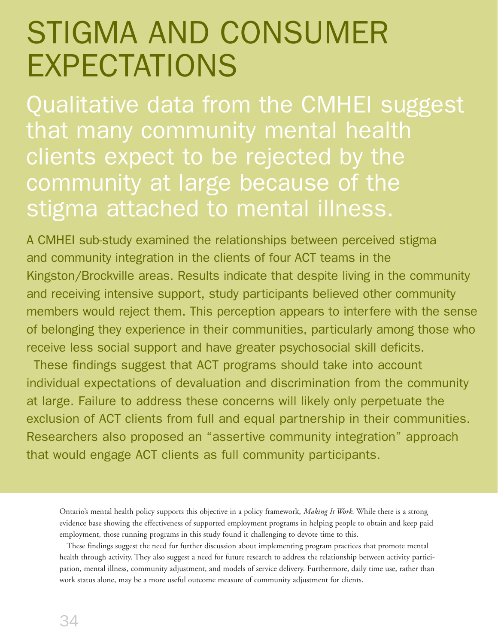# STIGMA AND STIGMA AND CONSUMER EXPECTATIONS

Qualitative data from the CMHEI suggest Qualitative data from the CMHEI suggest that many community mental health clients expect to be rejected by the clients expect to be rejected by the community at large because of the community at large because of the stigma attached to mental illness. stigma attached to mental illness.

A CMHEI sub-study examined the relationships between perceived stigma and community integration in the clients of four ACT teams in the Kingston/Brockville areas. Results indicate that despite living in the community and receiving intensive support, study participants believed other community members would reject them. This perception appears to interfere with the sense of belonging they experience in their communities, particularly among those who receive less social support and have greater psychosocial skill deficits.

These findings suggest that ACT programs should take into account These findings suggest that ACT programs should take into account individual expectations of devaluation and discrimination from the community individual expectations of devaluation and discrimination from the community at large. Failure to address these concerns will likely only perpetuate the at large. Failure to address these concerns will likely only perpetuate the exclusion of ACT clients from full and equal partnership in their communities. exclusion of ACT clients from full and equal partnership in their communities. Researchers also proposed an "assertive community integration" approach Researchers also proposed an "assertive community integration" approach that would engage ACT clients as full community participants. that would engage ACT clients as full community participants.

These findings suggest the need for further discussion about implementing program practices that promote mental health through activity. They also suggest a need for future research to address the relationship between activity participation, mental illness, community adjustment, and models of service delivery. Furthermore, daily time use, rather than work status alone, may be a more useful outcome measure of community adjustment for clients.

Ontario's mental health policy supports this objective in a policy framework, *Making It Work*. While there is a strong evidence base showing the effectiveness of supported employment programs in helping people to obtain and keep paid employment, those running programs in this study found it challenging to devote time to this.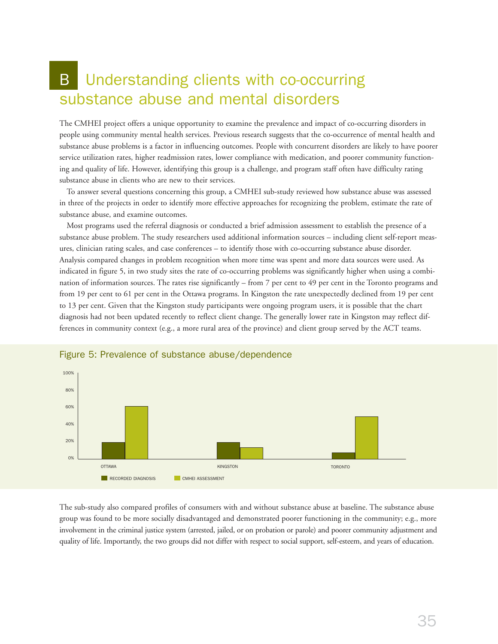## B Understanding clients with co-occurring substance abuse and mental disorders

The CMHEI project offers a unique opportunity to examine the prevalence and impact of co-occurring disorders in people using community mental health services. Previous research suggests that the co-occurrence of mental health and substance abuse problems is a factor in influencing outcomes. People with concurrent disorders are likely to have poorer service utilization rates, higher readmission rates, lower compliance with medication, and poorer community functioning and quality of life. However, identifying this group is a challenge, and program staff often have difficulty rating substance abuse in clients who are new to their services.

To answer several questions concerning this group, a CMHEI sub-study reviewed how substance abuse was assessed in three of the projects in order to identify more effective approaches for recognizing the problem, estimate the rate of substance abuse, and examine outcomes.

Most programs used the referral diagnosis or conducted a brief admission assessment to establish the presence of a substance abuse problem. The study researchers used additional information sources – including client self-report measures, clinician rating scales, and case conferences – to identify those with co-occurring substance abuse disorder. Analysis compared changes in problem recognition when more time was spent and more data sources were used. As indicated in figure 5, in two study sites the rate of co-occurring problems was significantly higher when using a combination of information sources. The rates rise significantly – from 7 per cent to 49 per cent in the Toronto programs and from 19 per cent to 61 per cent in the Ottawa programs. In Kingston the rate unexpectedly declined from 19 per cent to 13 per cent. Given that the Kingston study participants were ongoing program users, it is possible that the chart diagnosis had not been updated recently to reflect client change. The generally lower rate in Kingston may reflect differences in community context (e.g., a more rural area of the province) and client group served by the ACT teams.



#### Figure 5: Prevalence of substance abuse/dependence

The sub-study also compared profiles of consumers with and without substance abuse at baseline. The substance abuse group was found to be more socially disadvantaged and demonstrated poorer functioning in the community; e.g., more involvement in the criminal justice system (arrested, jailed, or on probation or parole) and poorer community adjustment and quality of life. Importantly, the two groups did not differ with respect to social support, self-esteem, and years of education.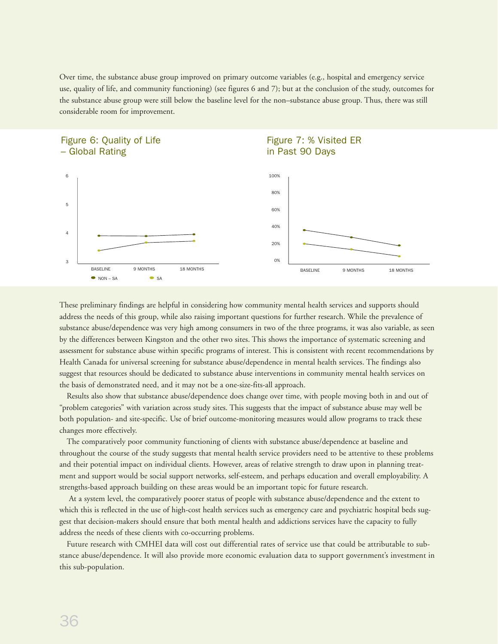Over time, the substance abuse group improved on primary outcome variables (e.g., hospital and emergency service use, quality of life, and community functioning) (see figures 6 and 7); but at the conclusion of the study, outcomes for the substance abuse group were still below the baseline level for the non–substance abuse group. Thus, there was still considerable room for improvement.



These preliminary findings are helpful in considering how community mental health services and supports should address the needs of this group, while also raising important questions for further research. While the prevalence of substance abuse/dependence was very high among consumers in two of the three programs, it was also variable, as seen by the differences between Kingston and the other two sites. This shows the importance of systematic screening and assessment for substance abuse within specific programs of interest. This is consistent with recent recommendations by Health Canada for universal screening for substance abuse/dependence in mental health services. The findings also suggest that resources should be dedicated to substance abuse interventions in community mental health services on the basis of demonstrated need, and it may not be a one-size-fits-all approach.

Results also show that substance abuse/dependence does change over time, with people moving both in and out of "problem categories" with variation across study sites. This suggests that the impact of substance abuse may well be both population- and site-specific. Use of brief outcome-monitoring measures would allow programs to track these changes more effectively.

The comparatively poor community functioning of clients with substance abuse/dependence at baseline and throughout the course of the study suggests that mental health service providers need to be attentive to these problems and their potential impact on individual clients. However, areas of relative strength to draw upon in planning treatment and support would be social support networks, self-esteem, and perhaps education and overall employability. A strengths-based approach building on these areas would be an important topic for future research.

At a system level, the comparatively poorer status of people with substance abuse/dependence and the extent to which this is reflected in the use of high-cost health services such as emergency care and psychiatric hospital beds suggest that decision-makers should ensure that both mental health and addictions services have the capacity to fully address the needs of these clients with co-occurring problems.

Future research with CMHEI data will cost out differential rates of service use that could be attributable to substance abuse/dependence. It will also provide more economic evaluation data to support government's investment in this sub-population.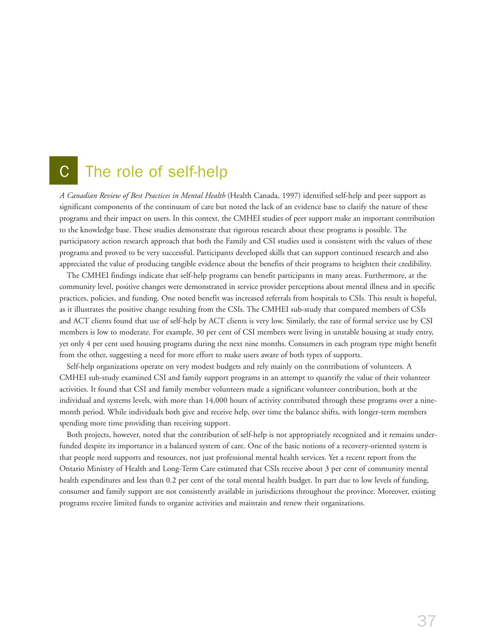### C The role of self-help

*A Canadian Review of Best Practices in Mental Health* (Health Canada, 1997) identified self-help and peer support as significant components of the continuum of care but noted the lack of an evidence base to clarify the nature of these programs and their impact on users. In this context, the CMHEI studies of peer support make an important contribution to the knowledge base. These studies demonstrate that rigorous research about these programs is possible. The participatory action research approach that both the Family and CSI studies used is consistent with the values of these programs and proved to be very successful. Participants developed skills that can support continued research and also appreciated the value of producing tangible evidence about the benefits of their programs to heighten their credibility.

The CMHEI findings indicate that self-help programs can benefit participants in many areas. Furthermore, at the community level, positive changes were demonstrated in service provider perceptions about mental illness and in specific practices, policies, and funding. One noted benefit was increased referrals from hospitals to CSIs. This result is hopeful, as it illustrates the positive change resulting from the CSIs. The CMHEI sub-study that compared members of CSIs and ACT clients found that use of self-help by ACT clients is very low. Similarly, the rate of formal service use by CSI members is low to moderate. For example, 30 per cent of CSI members were living in unstable housing at study entry, yet only 4 per cent used housing programs during the next nine months. Consumers in each program type might benefit from the other, suggesting a need for more effort to make users aware of both types of supports.

Self-help organizations operate on very modest budgets and rely mainly on the contributions of volunteers. A CMHEI sub-study examined CSI and family support programs in an attempt to quantify the value of their volunteer activities. It found that CSI and family member volunteers made a significant volunteer contribution, both at the individual and systems levels, with more than 14,000 hours of activity contributed through these programs over a ninemonth period. While individuals both give and receive help, over time the balance shifts, with longer-term members spending more time providing than receiving support.

Both projects, however, noted that the contribution of self-help is not appropriately recognized and it remains underfunded despite its importance in a balanced system of care. One of the basic notions of a recovery-oriented system is that people need supports and resources, not just professional mental health services. Yet a recent report from the Ontario Ministry of Health and Long-Term Care estimated that CSIs receive about 3 per cent of community mental health expenditures and less than 0.2 per cent of the total mental health budget. In part due to low levels of funding, consumer and family support are not consistently available in jurisdictions throughout the province. Moreover, existing programs receive limited funds to organize activities and maintain and renew their organizations.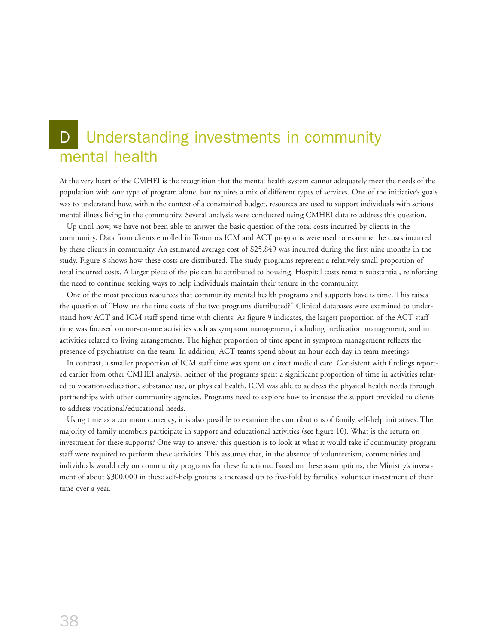## D Understanding investments in community mental health

At the very heart of the CMHEI is the recognition that the mental health system cannot adequately meet the needs of the population with one type of program alone, but requires a mix of different types of services. One of the initiative's goals was to understand how, within the context of a constrained budget, resources are used to support individuals with serious mental illness living in the community. Several analysis were conducted using CMHEI data to address this question.

Up until now, we have not been able to answer the basic question of the total costs incurred by clients in the community. Data from clients enrolled in Toronto's ICM and ACT programs were used to examine the costs incurred by these clients in community. An estimated average cost of \$25,849 was incurred during the first nine months in the study. Figure 8 shows how these costs are distributed. The study programs represent a relatively small proportion of total incurred costs. A larger piece of the pie can be attributed to housing. Hospital costs remain substantial, reinforcing the need to continue seeking ways to help individuals maintain their tenure in the community.

One of the most precious resources that community mental health programs and supports have is time. This raises the question of "How are the time costs of the two programs distributed?" Clinical databases were examined to understand how ACT and ICM staff spend time with clients. As figure 9 indicates, the largest proportion of the ACT staff time was focused on one-on-one activities such as symptom management, including medication management, and in activities related to living arrangements. The higher proportion of time spent in symptom management reflects the presence of psychiatrists on the team. In addition, ACT teams spend about an hour each day in team meetings.

In contrast, a smaller proportion of ICM staff time was spent on direct medical care. Consistent with findings reported earlier from other CMHEI analysis, neither of the programs spent a significant proportion of time in activities related to vocation/education, substance use, or physical health. ICM was able to address the physical health needs through partnerships with other community agencies. Programs need to explore how to increase the support provided to clients to address vocational/educational needs.

Using time as a common currency, it is also possible to examine the contributions of family self-help initiatives. The majority of family members participate in support and educational activities (see figure 10). What is the return on investment for these supports? One way to answer this question is to look at what it would take if community program staff were required to perform these activities. This assumes that, in the absence of volunteerism, communities and individuals would rely on community programs for these functions. Based on these assumptions, the Ministry's investment of about \$300,000 in these self-help groups is increased up to five-fold by families' volunteer investment of their time over a year.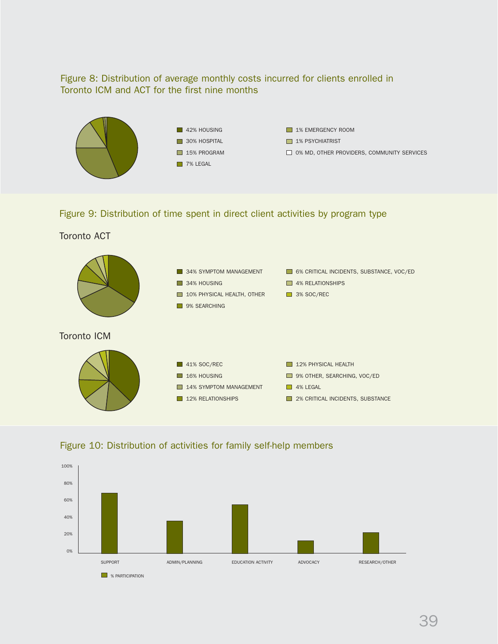#### Figure 8: Distribution of average monthly costs incurred for clients enrolled in Toronto ICM and ACT for the first nine months



Figure 9: Distribution of time spent in direct client activities by program type

#### Toronto ACT





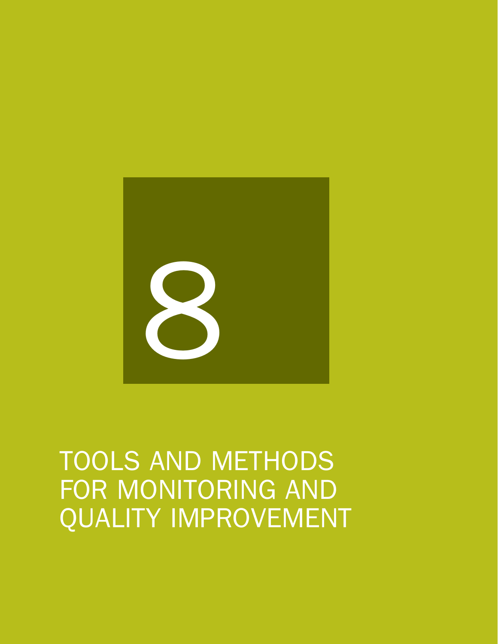

# TOOLS AND METHODS FOR MONITORING AND QUALITY IMPROVEMENT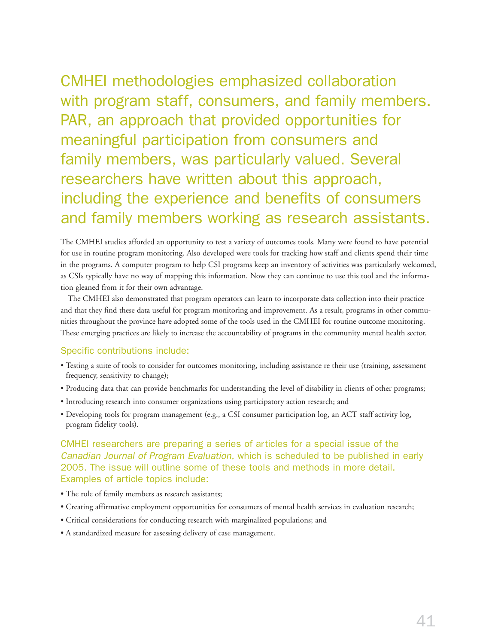CMHEI methodologies emphasized collaboration with program staff, consumers, and family members. PAR, an approach that provided opportunities for meaningful participation from consumers and family members, was particularly valued. Several researchers have written about this approach, including the experience and benefits of consumers and family members working as research assistants.

The CMHEI studies afforded an opportunity to test a variety of outcomes tools. Many were found to have potential for use in routine program monitoring. Also developed were tools for tracking how staff and clients spend their time in the programs. A computer program to help CSI programs keep an inventory of activities was particularly welcomed, as CSIs typically have no way of mapping this information. Now they can continue to use this tool and the information gleaned from it for their own advantage.

The CMHEI also demonstrated that program operators can learn to incorporate data collection into their practice and that they find these data useful for program monitoring and improvement. As a result, programs in other communities throughout the province have adopted some of the tools used in the CMHEI for routine outcome monitoring. These emerging practices are likely to increase the accountability of programs in the community mental health sector.

#### Specific contributions include:

- Testing a suite of tools to consider for outcomes monitoring, including assistance re their use (training, assessment frequency, sensitivity to change);
- Producing data that can provide benchmarks for understanding the level of disability in clients of other programs;
- Introducing research into consumer organizations using participatory action research; and
- Developing tools for program management (e.g., a CSI consumer participation log, an ACT staff activity log, program fidelity tools).

#### CMHEI researchers are preparing a series of articles for a special issue of the *Canadian Journal of Program Evaluation*, which is scheduled to be published in early 2005. The issue will outline some of these tools and methods in more detail. Examples of article topics include:

- The role of family members as research assistants;
- Creating affirmative employment opportunities for consumers of mental health services in evaluation research;
- Critical considerations for conducting research with marginalized populations; and
- A standardized measure for assessing delivery of case management.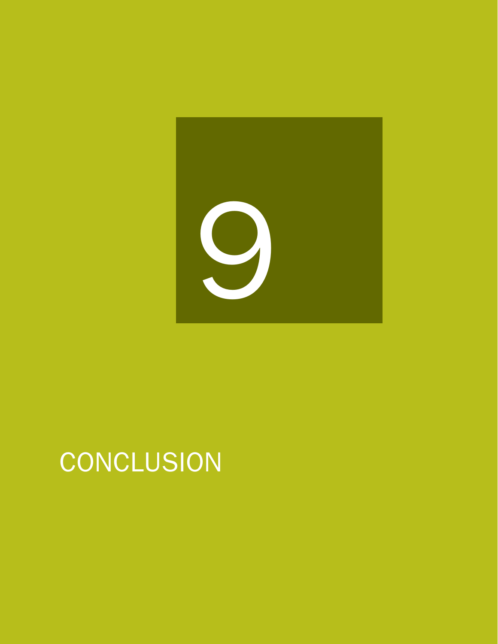

# **CONCLUSION**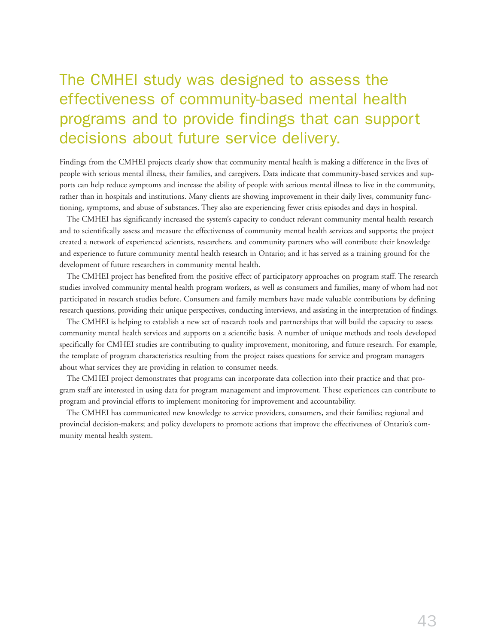## The CMHEI study was designed to assess the effectiveness of community-based mental health programs and to provide findings that can support decisions about future service delivery.

Findings from the CMHEI projects clearly show that community mental health is making a difference in the lives of people with serious mental illness, their families, and caregivers. Data indicate that community-based services and supports can help reduce symptoms and increase the ability of people with serious mental illness to live in the community, rather than in hospitals and institutions. Many clients are showing improvement in their daily lives, community functioning, symptoms, and abuse of substances. They also are experiencing fewer crisis episodes and days in hospital.

The CMHEI has significantly increased the system's capacity to conduct relevant community mental health research and to scientifically assess and measure the effectiveness of community mental health services and supports; the project created a network of experienced scientists, researchers, and community partners who will contribute their knowledge and experience to future community mental health research in Ontario; and it has served as a training ground for the development of future researchers in community mental health.

The CMHEI project has benefited from the positive effect of participatory approaches on program staff. The research studies involved community mental health program workers, as well as consumers and families, many of whom had not participated in research studies before. Consumers and family members have made valuable contributions by defining research questions, providing their unique perspectives, conducting interviews, and assisting in the interpretation of findings.

The CMHEI is helping to establish a new set of research tools and partnerships that will build the capacity to assess community mental health services and supports on a scientific basis. A number of unique methods and tools developed specifically for CMHEI studies are contributing to quality improvement, monitoring, and future research. For example, the template of program characteristics resulting from the project raises questions for service and program managers about what services they are providing in relation to consumer needs.

The CMHEI project demonstrates that programs can incorporate data collection into their practice and that program staff are interested in using data for program management and improvement. These experiences can contribute to program and provincial efforts to implement monitoring for improvement and accountability.

The CMHEI has communicated new knowledge to service providers, consumers, and their families; regional and provincial decision-makers; and policy developers to promote actions that improve the effectiveness of Ontario's community mental health system.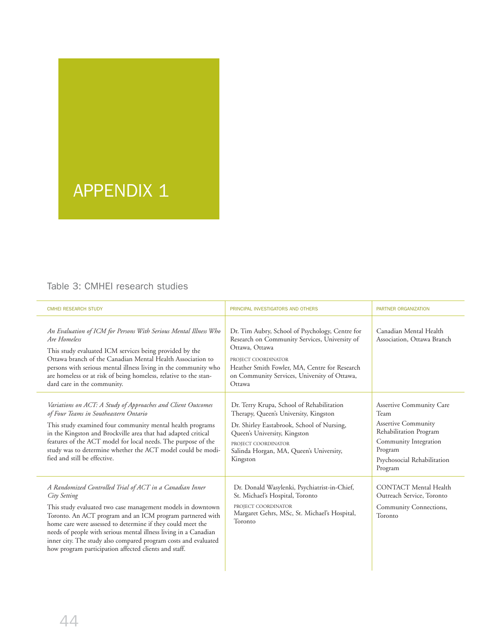# APPENDIX 1

#### Table 3: CMHEI research studies

L,

| <b>CMHEI RESEARCH STUDY</b>                                                                                                                                                                                                                                                                                                                                                                                                                                         | PRINCIPAL INVESTIGATORS AND OTHERS                                                                                                                                                                                                                   | <b>PARTNER ORGANIZATION</b>                                                                                                                                            |
|---------------------------------------------------------------------------------------------------------------------------------------------------------------------------------------------------------------------------------------------------------------------------------------------------------------------------------------------------------------------------------------------------------------------------------------------------------------------|------------------------------------------------------------------------------------------------------------------------------------------------------------------------------------------------------------------------------------------------------|------------------------------------------------------------------------------------------------------------------------------------------------------------------------|
| An Evaluation of ICM for Persons With Serious Mental Illness Who<br>Are Homeless<br>This study evaluated ICM services being provided by the<br>Ottawa branch of the Canadian Mental Health Association to<br>persons with serious mental illness living in the community who<br>are homeless or at risk of being homeless, relative to the stan-<br>dard care in the community.                                                                                     | Dr. Tim Aubry, School of Psychology, Centre for<br>Research on Community Services, University of<br>Ottawa, Ottawa<br>PROJECT COORDINATOR<br>Heather Smith Fowler, MA, Centre for Research<br>on Community Services, University of Ottawa,<br>Ottawa | Canadian Mental Health<br>Association, Ottawa Branch                                                                                                                   |
| Variations on ACT: A Study of Approaches and Client Outcomes<br>of Four Teams in Southeastern Ontario<br>This study examined four community mental health programs<br>in the Kingston and Brockville area that had adapted critical<br>features of the ACT model for local needs. The purpose of the<br>study was to determine whether the ACT model could be modi-<br>fied and still be effective.                                                                 | Dr. Terry Krupa, School of Rehabilitation<br>Therapy, Queen's University, Kingston<br>Dr. Shirley Eastabrook, School of Nursing,<br>Queen's University, Kingston<br>PROJECT COORDINATOR<br>Salinda Horgan, MA, Queen's University,<br>Kingston       | Assertive Community Care<br>Team<br><b>Assertive Community</b><br>Rehabilitation Program<br>Community Integration<br>Program<br>Psychosocial Rehabilitation<br>Program |
| A Randomized Controlled Trial of ACT in a Canadian Inner<br>City Setting<br>This study evaluated two case management models in downtown<br>Toronto. An ACT program and an ICM program partnered with<br>home care were assessed to determine if they could meet the<br>needs of people with serious mental illness living in a Canadian<br>inner city. The study also compared program costs and evaluated<br>how program participation affected clients and staff. | Dr. Donald Wasylenki, Psychiatrist-in-Chief,<br>St. Michael's Hospital, Toronto<br>PROJECT COORDINATOR<br>Margaret Gehrs, MSc, St. Michael's Hospital,<br>Toronto                                                                                    | <b>CONTACT</b> Mental Health<br>Outreach Service, Toronto<br>Community Connections,<br>Toronto                                                                         |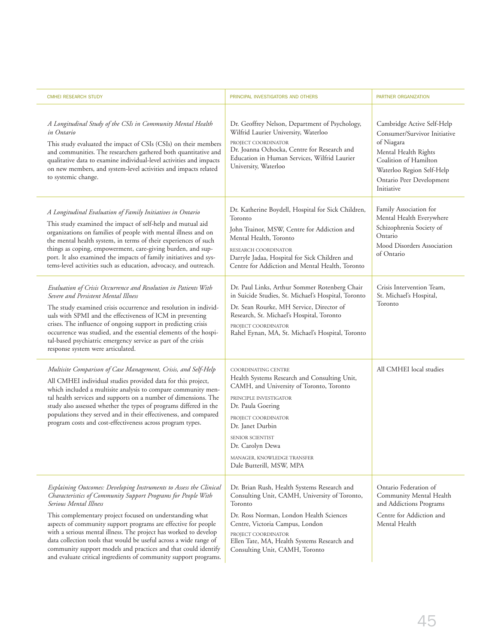| <b>CMHEI RESEARCH STUDY</b>                                                                                                                                                                                                                                                                                                                                                                                                                                                                                                                                                | PRINCIPAL INVESTIGATORS AND OTHERS                                                                                                                                                                                                                                                                           | PARTNER ORGANIZATION                                                                                                                                                                             |
|----------------------------------------------------------------------------------------------------------------------------------------------------------------------------------------------------------------------------------------------------------------------------------------------------------------------------------------------------------------------------------------------------------------------------------------------------------------------------------------------------------------------------------------------------------------------------|--------------------------------------------------------------------------------------------------------------------------------------------------------------------------------------------------------------------------------------------------------------------------------------------------------------|--------------------------------------------------------------------------------------------------------------------------------------------------------------------------------------------------|
| A Longitudinal Study of the CSIs in Community Mental Health<br>in Ontario<br>This study evaluated the impact of CSIs (CSIs) on their members<br>and communities. The researchers gathered both quantitative and<br>qualitative data to examine individual-level activities and impacts<br>on new members, and system-level activities and impacts related<br>to systemic change.                                                                                                                                                                                           | Dr. Geoffrey Nelson, Department of Psychology,<br>Wilfrid Laurier University, Waterloo<br>PROJECT COORDINATOR<br>Dr. Joanna Ochocka, Centre for Research and<br>Education in Human Services, Wilfrid Laurier<br>University, Waterloo                                                                         | Cambridge Active Self-Help<br>Consumer/Survivor Initiative<br>of Niagara<br>Mental Health Rights<br>Coalition of Hamilton<br>Waterloo Region Self-Help<br>Ontario Peer Development<br>Initiative |
| A Longitudinal Evaluation of Family Initiatives in Ontario<br>This study examined the impact of self-help and mutual aid<br>organizations on families of people with mental illness and on<br>the mental health system, in terms of their experiences of such<br>things as coping, empowerment, care-giving burden, and sup-<br>port. It also examined the impacts of family initiatives and sys-<br>tems-level activities such as education, advocacy, and outreach.                                                                                                      | Dr. Katherine Boydell, Hospital for Sick Children,<br>Toronto<br>John Trainor, MSW, Centre for Addiction and<br>Mental Health, Toronto<br>RESEARCH COORDINATOR<br>Darryle Jadaa, Hospital for Sick Children and<br>Centre for Addiction and Mental Health, Toronto                                           | Family Association for<br>Mental Health Everywhere<br>Schizophrenia Society of<br>Ontario<br>Mood Disorders Association<br>of Ontario                                                            |
| Evaluation of Crisis Occurrence and Resolution in Patients With<br>Severe and Persistent Mental Illness<br>The study examined crisis occurrence and resolution in individ-<br>uals with SPMI and the effectiveness of ICM in preventing<br>crises. The influence of ongoing support in predicting crisis<br>occurrence was studied, and the essential elements of the hospi-<br>tal-based psychiatric emergency service as part of the crisis<br>response system were articulated.                                                                                         | Dr. Paul Links, Arthur Sommer Rotenberg Chair<br>in Suicide Studies, St. Michael's Hospital, Toronto<br>Dr. Sean Rourke, MH Service, Director of<br>Research, St. Michael's Hospital, Toronto<br>PROJECT COORDINATOR<br>Rahel Eynan, MA, St. Michael's Hospital, Toronto                                     | Crisis Intervention Team,<br>St. Michael's Hospital,<br>Toronto                                                                                                                                  |
| Multisite Comparison of Case Management, Crisis, and Self-Help<br>All CMHEI individual studies provided data for this project,<br>which included a multisite analysis to compare community men-<br>tal health services and supports on a number of dimensions. The<br>study also assessed whether the types of programs differed in the<br>populations they served and in their effectiveness, and compared<br>program costs and cost-effectiveness across program types.                                                                                                  | COORDINATING CENTRE<br>Health Systems Research and Consulting Unit,<br>CAMH, and University of Toronto, Toronto<br>PRINCIPLE INVESTIGATOR<br>Dr. Paula Goering<br>PROJECT COORDINATOR<br>Dr. Janet Durbin<br>SENIOR SCIENTIST<br>Dr. Carolyn Dewa<br>MANAGER, KNOWLEDGE TRANSFER<br>Dale Butterill, MSW, MPA | All CMHEI local studies                                                                                                                                                                          |
| Explaining Outcomes: Developing Instruments to Assess the Clinical<br>Characteristics of Community Support Programs for People With<br>Serious Mental Illness<br>This complementary project focused on understanding what<br>aspects of community support programs are effective for people<br>with a serious mental illness. The project has worked to develop<br>data collection tools that would be useful across a wide range of<br>community support models and practices and that could identify<br>and evaluate critical ingredients of community support programs. | Dr. Brian Rush, Health Systems Research and<br>Consulting Unit, CAMH, University of Toronto,<br>Toronto<br>Dr. Ross Norman, London Health Sciences<br>Centre, Victoria Campus, London<br>PROJECT COORDINATOR<br>Ellen Tate, MA, Health Systems Research and<br>Consulting Unit, CAMH, Toronto                | Ontario Federation of<br>Community Mental Health<br>and Addictions Programs<br>Centre for Addiction and<br>Mental Health                                                                         |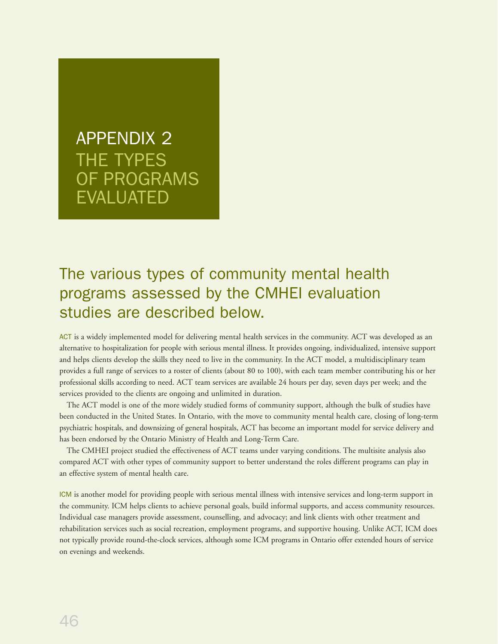# APPENDIX 2 THE TYPES OF PROGRAMS EVALUATED

## The various types of community mental health programs assessed by the CMHEI evaluation studies are described below.

ACT is a widely implemented model for delivering mental health services in the community. ACT was developed as an alternative to hospitalization for people with serious mental illness. It provides ongoing, individualized, intensive support and helps clients develop the skills they need to live in the community. In the ACT model, a multidisciplinary team provides a full range of services to a roster of clients (about 80 to 100), with each team member contributing his or her professional skills according to need. ACT team services are available 24 hours per day, seven days per week; and the services provided to the clients are ongoing and unlimited in duration.

The ACT model is one of the more widely studied forms of community support, although the bulk of studies have been conducted in the United States. In Ontario, with the move to community mental health care, closing of long-term psychiatric hospitals, and downsizing of general hospitals, ACT has become an important model for service delivery and has been endorsed by the Ontario Ministry of Health and Long-Term Care.

The CMHEI project studied the effectiveness of ACT teams under varying conditions. The multisite analysis also compared ACT with other types of community support to better understand the roles different programs can play in an effective system of mental health care.

ICM is another model for providing people with serious mental illness with intensive services and long-term support in the community. ICM helps clients to achieve personal goals, build informal supports, and access community resources. Individual case managers provide assessment, counselling, and advocacy; and link clients with other treatment and rehabilitation services such as social recreation, employment programs, and supportive housing. Unlike ACT, ICM does not typically provide round-the-clock services, although some ICM programs in Ontario offer extended hours of service on evenings and weekends.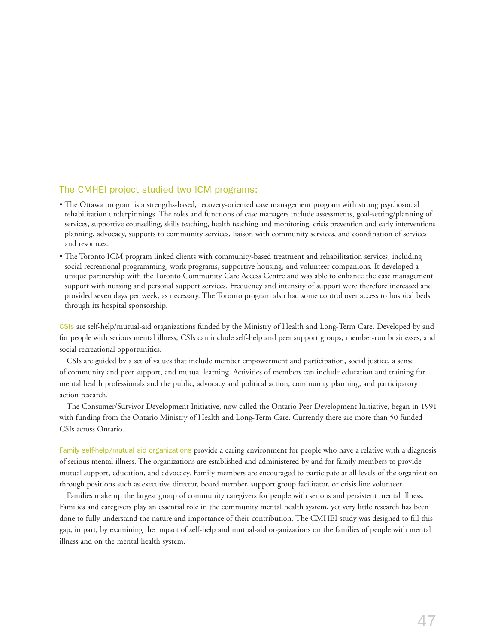#### The CMHEI project studied two ICM programs:

- The Ottawa program is a strengths-based, recovery-oriented case management program with strong psychosocial rehabilitation underpinnings. The roles and functions of case managers include assessments, goal-setting/planning of services, supportive counselling, skills teaching, health teaching and monitoring, crisis prevention and early interventions planning, advocacy, supports to community services, liaison with community services, and coordination of services and resources.
- The Toronto ICM program linked clients with community-based treatment and rehabilitation services, including social recreational programming, work programs, supportive housing, and volunteer companions. It developed a unique partnership with the Toronto Community Care Access Centre and was able to enhance the case management support with nursing and personal support services. Frequency and intensity of support were therefore increased and provided seven days per week, as necessary. The Toronto program also had some control over access to hospital beds through its hospital sponsorship.

CSIs are self-help/mutual-aid organizations funded by the Ministry of Health and Long-Term Care. Developed by and for people with serious mental illness, CSIs can include self-help and peer support groups, member-run businesses, and social recreational opportunities.

CSIs are guided by a set of values that include member empowerment and participation, social justice, a sense of community and peer support, and mutual learning. Activities of members can include education and training for mental health professionals and the public, advocacy and political action, community planning, and participatory action research.

The Consumer/Survivor Development Initiative, now called the Ontario Peer Development Initiative, began in 1991 with funding from the Ontario Ministry of Health and Long-Term Care. Currently there are more than 50 funded CSIs across Ontario.

Family self-help/mutual aid organizations provide a caring environment for people who have a relative with a diagnosis of serious mental illness. The organizations are established and administered by and for family members to provide mutual support, education, and advocacy. Family members are encouraged to participate at all levels of the organization through positions such as executive director, board member, support group facilitator, or crisis line volunteer.

Families make up the largest group of community caregivers for people with serious and persistent mental illness. Families and caregivers play an essential role in the community mental health system, yet very little research has been done to fully understand the nature and importance of their contribution. The CMHEI study was designed to fill this gap, in part, by examining the impact of self-help and mutual-aid organizations on the families of people with mental illness and on the mental health system.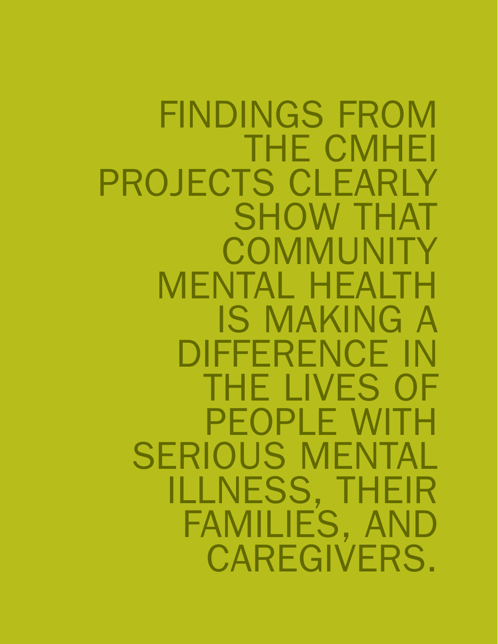FINDINGS FROM THE CMHEI PROJECTS CLEARLY SHOW THAT **COMMUNITY** MENTAL HEALTH IS MAKING A DIFFERENCE IN THE LIVES OF PEOPLE WITH SERIOUS MENTAL ILLNESS, THEIR FAMILIES, AND CAREGIVERS.